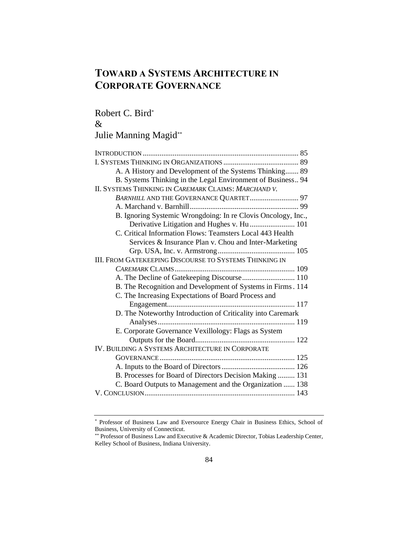# **TOWARD A SYSTEMS ARCHITECTURE IN CORPORATE GOVERNANCE**

# Robert C. Bird\*

# &

# Julie Manning Magid\*\*

| A. A History and Development of the Systems Thinking 89       |
|---------------------------------------------------------------|
| B. Systems Thinking in the Legal Environment of Business 94   |
| II. SYSTEMS THINKING IN CAREMARK CLAIMS: MARCHAND V.          |
| BARNHILL AND THE GOVERNANCE QUARTET 97                        |
|                                                               |
| B. Ignoring Systemic Wrongdoing: In re Clovis Oncology, Inc., |
| Derivative Litigation and Hughes v. Hu  101                   |
| C. Critical Information Flows: Teamsters Local 443 Health     |
| Services & Insurance Plan v. Chou and Inter-Marketing         |
|                                                               |
| <b>III. FROM GATEKEEPING DISCOURSE TO SYSTEMS THINKING IN</b> |
|                                                               |
| A. The Decline of Gatekeeping Discourse 110                   |
| B. The Recognition and Development of Systems in Firms. 114   |
| C. The Increasing Expectations of Board Process and           |
|                                                               |
| D. The Noteworthy Introduction of Criticality into Caremark   |
|                                                               |
| E. Corporate Governance Vexillology: Flags as System          |
|                                                               |
| IV. BUILDING A SYSTEMS ARCHITECTURE IN CORPORATE              |
|                                                               |
|                                                               |
| B. Processes for Board of Directors Decision Making  131      |
| C. Board Outputs to Management and the Organization  138      |
|                                                               |

<sup>\*</sup> Professor of Business Law and Eversource Energy Chair in Business Ethics, School of Business, University of Connecticut.

<sup>\*\*</sup> Professor of Business Law and Executive & Academic Director, Tobias Leadership Center, Kelley School of Business, Indiana University.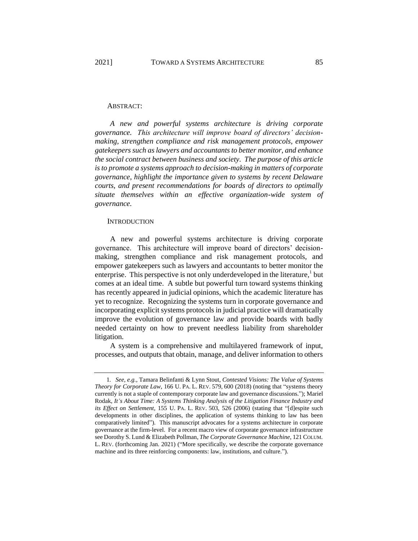#### ABSTRACT:

*A new and powerful systems architecture is driving corporate governance. This architecture will improve board of directors' decisionmaking, strengthen compliance and risk management protocols, empower gatekeepers such as lawyers and accountants to better monitor, and enhance the social contract between business and society. The purpose of this article is to promote a systems approach to decision-making in matters of corporate governance, highlight the importance given to systems by recent Delaware courts, and present recommendations for boards of directors to optimally situate themselves within an effective organization-wide system of governance.*

#### <span id="page-1-0"></span>**INTRODUCTION**

A new and powerful systems architecture is driving corporate governance. This architecture will improve board of directors' decisionmaking, strengthen compliance and risk management protocols, and empower gatekeepers such as lawyers and accountants to better monitor the enterprise. This perspective is not only underdeveloped in the literature, $\frac{1}{2}$  but comes at an ideal time. A subtle but powerful turn toward systems thinking has recently appeared in judicial opinions, which the academic literature has yet to recognize. Recognizing the systems turn in corporate governance and incorporating explicit systems protocols in judicial practice will dramatically improve the evolution of governance law and provide boards with badly needed certainty on how to prevent needless liability from shareholder litigation.

A system is a comprehensive and multilayered framework of input, processes, and outputs that obtain, manage, and deliver information to others

<sup>1</sup>*. See, e.g.*, Tamara Belinfanti & Lynn Stout, *Contested Visions: The Value of Systems Theory for Corporate Law*, 166 U. PA. L. REV. 579, 600 (2018) (noting that "systems theory currently is not a staple of contemporary corporate law and governance discussions."); Mariel Rodak, *It's About Time: A Systems Thinking Analysis of the Litigation Finance Industry and its Effect on Settlement*, 155 U. PA. L. REV. 503, 526 (2006) (stating that "[d]espite such developments in other disciplines, the application of systems thinking to law has been comparatively limited"). This manuscript advocates for a systems architecture in corporate governance at the firm-level. For a recent macro view of corporate governance infrastructure see Dorothy S. Lund & Elizabeth Pollman, *The Corporate Governance Machine*, 121 COLUM. L. REV. (forthcoming Jan. 2021) ("More specifically, we describe the corporate governance machine and its three reinforcing components: law, institutions, and culture.").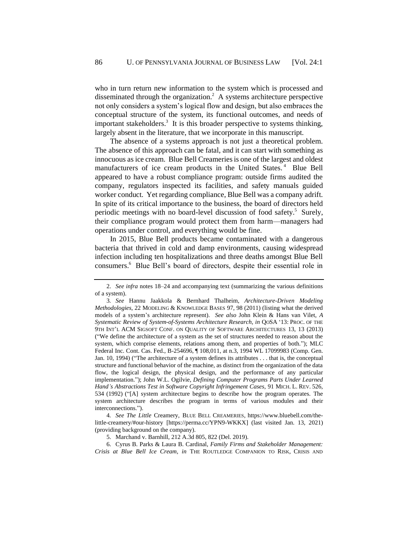who in turn return new information to the system which is processed and disseminated through the organization.<sup>2</sup> A systems architecture perspective not only considers a system's logical flow and design, but also embraces the conceptual structure of the system, its functional outcomes, and needs of important stakeholders.<sup>3</sup> It is this broader perspective to systems thinking, largely absent in the literature, that we incorporate in this manuscript.

The absence of a systems approach is not just a theoretical problem. The absence of this approach can be fatal, and it can start with something as innocuous as ice cream. Blue Bell Creameries is one of the largest and oldest manufacturers of ice cream products in the United States.<sup>4</sup> Blue Bell appeared to have a robust compliance program: outside firms audited the company, regulators inspected its facilities, and safety manuals guided worker conduct. Yet regarding compliance, Blue Bell was a company adrift. In spite of its critical importance to the business, the board of directors held periodic meetings with no board-level discussion of food safety.<sup>5</sup> Surely, their compliance program would protect them from harm—managers had operations under control, and everything would be fine.

In 2015, Blue Bell products became contaminated with a dangerous bacteria that thrived in cold and damp environments, causing widespread infection including ten hospitalizations and three deaths amongst Blue Bell consumers.<sup>6</sup> Blue Bell's board of directors, despite their essential role in

<span id="page-2-0"></span><sup>2.</sup> *See infra* notes [18–](#page-5-0)[24](#page-6-0) and accompanying text (summarizing the various definitions of a system).

<sup>3</sup>*. See* Hannu Jaakkola & Bernhard Thalheim, *Architecture-Driven Modeling Methodologies*, 22 MODELING & KNOWLEDGE BASES 97, 98 (2011) (listing what the derived models of a system's architecture represent). *See also* John Klein & Hans van Vilet, *A Systematic Review of System-of-Systems Architecture Research*, *in* QOSA '13: PROC. OF THE 9TH INT'L ACM SIGSOFT CONF. ON QUALITY OF SOFTWARE ARCHITECTURES 13, 13 (2013) ("We define the architecture of a system as the set of structures needed to reason about the system, which comprise elements, relations among them, and properties of both."); MLC Federal Inc. Cont. Cas. Fed., B-254696, ¶ 108,011, at n.3, 1994 WL 17099983 (Comp. Gen. Jan. 10, 1994) ("The architecture of a system defines its attributes . . . that is, the conceptual structure and functional behavior of the machine, as distinct from the organization of the data flow, the logical design, the physical design, and the performance of any particular implementation."); John W.L. Ogilvie, *Defining Computer Programs Parts Under Learned Hand's Abstractions Test in Software Copyright Infringement Cases*, 91 MICH. L. REV. 526, 534 (1992) ("[A] system architecture begins to describe how the program operates. The system architecture describes the program in terms of various modules and their interconnections.").

<sup>4</sup>*. See The Little* Creamery, BLUE BELL CREAMERIES, https://www.bluebell.com/thelittle-creamery/#our-history [https://perma.cc/YPN9-WKKX] (last visited Jan. 13, 2021) (providing background on the company).

<sup>5.</sup> Marchand v. Barnhill, 212 A.3d 805, 822 (Del. 2019).

<sup>6.</sup> Cyrus B. Parks & Laura B. Cardinal, *Family Firms and Stakeholder Management: Crisis at Blue Bell Ice Cream*, *in* THE ROUTLEDGE COMPANION TO RISK, CRISIS AND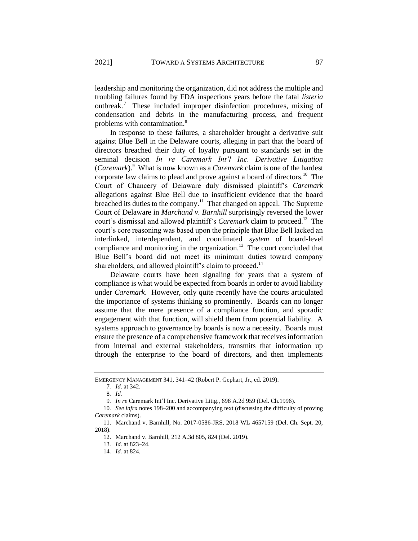leadership and monitoring the organization, did not address the multiple and troubling failures found by FDA inspections years before the fatal *listeria* outbreak.<sup>7</sup> These included improper disinfection procedures, mixing of condensation and debris in the manufacturing process, and frequent problems with contamination.<sup>8</sup>

In response to these failures, a shareholder brought a derivative suit against Blue Bell in the Delaware courts, alleging in part that the board of directors breached their duty of loyalty pursuant to standards set in the seminal decision *In re Caremark Int'l Inc. Derivative Litigation*  (*Caremark*). 9 What is now known as a *Caremark* claim is one of the hardest corporate law claims to plead and prove against a board of directors.<sup>10</sup> The Court of Chancery of Delaware duly dismissed plaintiff's *Caremark* allegations against Blue Bell due to insufficient evidence that the board breached its duties to the company.<sup>11</sup> That changed on appeal. The Supreme Court of Delaware in *Marchand v. Barnhill* surprisingly reversed the lower court's dismissal and allowed plaintiff's *Caremark* claim to proceed.<sup>12</sup> The court's core reasoning was based upon the principle that Blue Bell lacked an interlinked, interdependent, and coordinated *system* of board-level compliance and monitoring in the organization.<sup>13</sup> The court concluded that Blue Bell's board did not meet its minimum duties toward company shareholders, and allowed plaintiff's claim to proceed.<sup>14</sup>

Delaware courts have been signaling for years that a system of compliance is what would be expected from boards in order to avoid liability under *Caremark*. However, only quite recently have the courts articulated the importance of systems thinking so prominently. Boards can no longer assume that the mere presence of a compliance function, and sporadic engagement with that function, will shield them from potential liability. A systems approach to governance by boards is now a necessity. Boards must ensure the presence of a comprehensive framework that receives information from internal and external stakeholders, transmits that information up through the enterprise to the board of directors, and then implements

EMERGENCY MANAGEMENT 341, 341–42 (Robert P. Gephart, Jr., ed. 2019).

<sup>7</sup>*. Id*. at 342.

<sup>8</sup>*. Id.*

<sup>9</sup>*. In re* Caremark Int'l Inc. Derivative Litig., 698 A.2d 959 (Del. Ch.1996).

<sup>10</sup>*. See infra* notes [198](#page-26-0)[–200](#page-26-1) and accompanying text (discussing the difficulty of proving *Caremark* claims).

<sup>11.</sup> Marchand v. Barnhill, No. 2017-0586-JRS, 2018 WL 4657159 (Del. Ch. Sept. 20, 2018).

<sup>12.</sup> Marchand v. Barnhill, 212 A.3d 805, 824 (Del. 2019).

<sup>13</sup>*. Id.* at 823–24.

<sup>14</sup>*. Id.* at 824.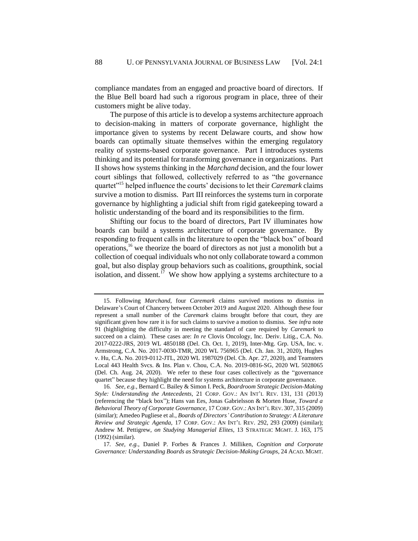compliance mandates from an engaged and proactive board of directors. If the Blue Bell board had such a rigorous program in place, three of their customers might be alive today.

The purpose of this article is to develop a systems architecture approach to decision-making in matters of corporate governance, highlight the importance given to systems by recent Delaware courts, and show how boards can optimally situate themselves within the emerging regulatory reality of systems-based corporate governance. Part I introduces systems thinking and its potential for transforming governance in organizations. Part II shows how systems thinking in the *Marchand* decision, and the four lower court siblings that followed, collectively referred to as "the governance quartet"<sup>15</sup> helped influence the courts' decisions to let their *Caremark* claims survive a motion to dismiss. Part III reinforces the systems turn in corporate governance by highlighting a judicial shift from rigid gatekeeping toward a holistic understanding of the board and its responsibilities to the firm.

<span id="page-4-0"></span>Shifting our focus to the board of directors, Part IV illuminates how boards can build a systems architecture of corporate governance. By responding to frequent calls in the literature to open the "black box" of board operations,<sup>16</sup> we theorize the board of directors as not just a monolith but a collection of coequal individuals who not only collaborate toward a common goal, but also display group behaviors such as coalitions, groupthink, social isolation, and dissent.<sup>17</sup> We show how applying a systems architecture to a

<span id="page-4-1"></span><sup>15.</sup> Following *Marchand*, four *Caremark* claims survived motions to dismiss in Delaware's Court of Chancery between October 2019 and August 2020. Although these four represent a small number of the *Caremark* claims brought before that court, they are significant given how rare it is for such claims to survive a motion to dismiss. See *infra* note [91](#page-14-0) (highlighting the difficulty in meeting the standard of care required by *Caremark* to succeed on a claim). These cases are: *In re* Clovis Oncology, Inc. Deriv. Litig., C.A. No. 2017-0222-JRS, 2019 WL 4850188 (Del. Ch. Oct. 1, 2019), Inter-Mtg. Grp. USA, Inc. v. Armstrong, C.A. No. 2017-0030-TMR, 2020 WL 756965 (Del. Ch. Jan. 31, 2020), Hughes v. Hu, C.A. No. 2019-0112-JTL, 2020 WL 1987029 (Del. Ch. Apr. 27, 2020), and Teamsters Local 443 Health Svcs. & Ins. Plan v. Chou, C.A. No. 2019-0816-SG, 2020 WL 5028065 (Del. Ch. Aug. 24, 2020). We refer to these four cases collectively as the "governance quartet" because they highlight the need for systems architecture in corporate governance.

<sup>16</sup>*. See, e.g.*, Bernard C. Bailey & Simon I. Peck, *Boardroom Strategic Decision-Making Style: Understanding the Antecedents*, 21 CORP. GOV.: AN INT'L REV. 131, 131 (2013) (referencing the "black box"); Hans van Ees, Jonas Gabrielsson & Morten Huse, *Toward a Behavioral Theory of Corporate Governance*, 17 CORP. GOV.: AN INT'L REV. 307, 315 (2009) (similar); Amedeo Pugliese et al., *Boards of Directors' Contribution to Strategy: A Literature Review and Strategic Agenda*, 17 CORP. GOV.: AN INT'L REV. 292, 293 (2009) (similar); Andrew M. Pettigrew, *on Studying Managerial Elites*, 13 STRATEGIC MGMT. J. 163, 175 (1992) (similar).

<sup>17</sup>*. See, e.g.*, Daniel P. Forbes & Frances J. Milliken, *Cognition and Corporate Governance: Understanding Boards as Strategic Decision-Making Groups*, 24 ACAD. MGMT.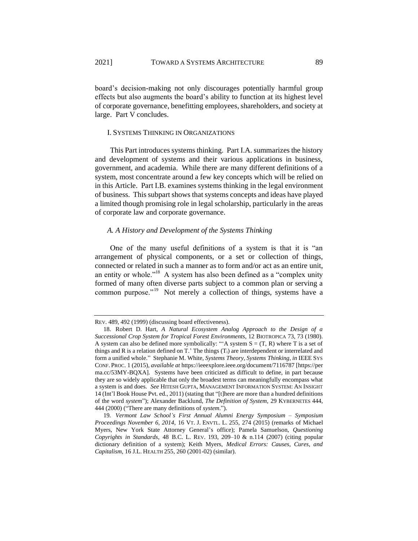board's decision-making not only discourages potentially harmful group effects but also augments the board's ability to function at its highest level of corporate governance, benefitting employees, shareholders, and society at large. Part V concludes.

### I. SYSTEMS THINKING IN ORGANIZATIONS

This Part introduces systems thinking. Part I.A. summarizes the history and development of systems and their various applications in business, government, and academia. While there are many different definitions of a system, most concentrate around a few key concepts which will be relied on in this Article. Part I.B. examines systems thinking in the legal environment of business. This subpart shows that systems concepts and ideas have played a limited though promising role in legal scholarship, particularly in the areas of corporate law and corporate governance.

# *A. A History and Development of the Systems Thinking*

<span id="page-5-0"></span>One of the many useful definitions of a system is that it is "an arrangement of physical components, or a set or collection of things, connected or related in such a manner as to form and/or act as an entire unit, an entity or whole."<sup>18</sup> A system has also been defined as a "complex unity" formed of many often diverse parts subject to a common plan or serving a common purpose."<sup>19</sup> Not merely a collection of things, systems have a

<span id="page-5-1"></span>REV. 489, 492 (1999) (discussing board effectiveness).

<sup>18.</sup> Robert D. Hart, *A Natural Ecosystem Analog Approach to the Design of a Successional Crop System for Tropical Forest Environments*, 12 BIOTROPICA 73, 73 (1980). A system can also be defined more symbolically: " $A$  system  $S = (T, R)$  where T is a set of things and R is a relation defined on T.' The things (Ti) are interdependent or interrelated and form a unified whole." Stephanie M. White, *Systems Theory, Systems Thinking*, *in* IEEE SYS CONF. PROC. 1 (2015), *available at* https://ieeexplore.ieee.org/document/7116787 [https://per ma.cc/53MY-BQXA]. Systems have been criticized as difficult to define, in part because they are so widely applicable that only the broadest terms can meaningfully encompass what a system is and does. *See* HITESH GUPTA, MANAGEMENT INFORMATION SYSTEM: AN INSIGHT 14 (Int'l Book House Pvt. ed., 2011) (stating that "[t]here are more than a hundred definitions of the word *system*"); Alexander Backlund, *The Definition of System*, 29 KYBERNETES 444, 444 (2000) ("There are many definitions of *system*.").

<sup>19</sup>*. Vermont Law School's First Annual Alumni Energy Symposium – Symposium Proceedings November 6, 2014*, 16 VT. J. ENVTL. L. 255, 274 (2015) (remarks of Michael Myers, New York State Attorney General's office); Pamela Samuelson, *Questioning Copyrights in Standards*, 48 B.C. L. REV. 193, 209–10 & n.114 (2007) (citing popular dictionary definition of a system); Keith Myers, *Medical Errors: Causes, Cures, and Capitalism*, 16 J.L. HEALTH 255, 260 (2001-02) (similar).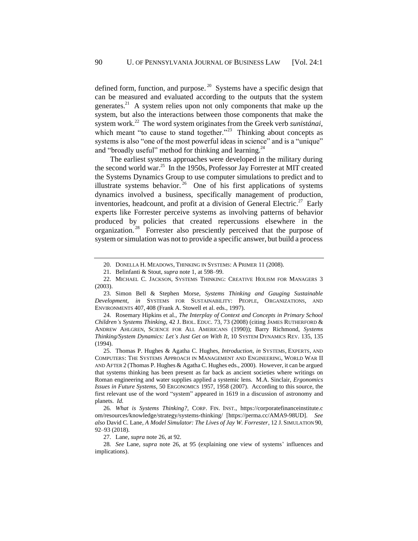<span id="page-6-2"></span>defined form, function, and purpose.<sup>20</sup> Systems have a specific design that can be measured and evaluated according to the outputs that the system generates.<sup>21</sup> A system relies upon not only components that make up the system, but also the interactions between those components that make the system work.<sup>22</sup> The word system originates from the Greek verb *sunistánai*, which meant "to cause to stand together."<sup>23</sup> Thinking about concepts as systems is also "one of the most powerful ideas in science" and is a "unique" and "broadly useful" method for thinking and learning.<sup>24</sup>

<span id="page-6-1"></span><span id="page-6-0"></span>The earliest systems approaches were developed in the military during the second world war.<sup>25</sup> In the 1950s, Professor Jay Forrester at MIT created the Systems Dynamics Group to use computer simulations to predict and to illustrate systems behavior.<sup>26</sup> One of his first applications of systems dynamics involved a business, specifically management of production, inventories, headcount, and profit at a division of General Electric.<sup>27</sup> Early experts like Forrester perceive systems as involving patterns of behavior produced by policies that created repercussions elsewhere in the organization.<sup>28</sup> Forrester also presciently perceived that the purpose of system or simulation was not to provide a specific answer, but build a process

24. Rosemary Hipkins et al., *The Interplay of Context and Concepts in Primary School Children's Systems Thinking*, 42 J. BIOL. EDUC. 73, 73 (2008) (citing JAMES RUTHERFORD & ANDREW AHLGREN, SCIENCE FOR ALL AMERICANS (1990)); Barry Richmond, *Systems Thinking/System Dynamics: Let's Just Get on With It*, 10 SYSTEM DYNAMICS REV. 135, 135 (1994).

25. Thomas P. Hughes & Agatha C. Hughes, *Introduction*, *in* SYSTEMS, EXPERTS, AND COMPUTERS: THE SYSTEMS APPROACH IN MANAGEMENT AND ENGINEERING, WORLD WAR II AND AFTER 2 (Thomas P. Hughes & Agatha C. Hughes eds., 2000). However, it can be argued that systems thinking has been present as far back as ancient societies where writings on Roman engineering and water supplies applied a systemic lens. M.A. Sinclair, *Ergonomics Issues in Future Systems*, 50 ERGONOMICS 1957, 1958 (2007). According to this source, the first relevant use of the word "system" appeared in 1619 in a discussion of astronomy and planets. *Id.*

26*. What is Systems Thinking?*, CORP. FIN. INST., https://corporatefinanceinstitute.c om/resources/knowledge/strategy/systems-thinking/ [https://perma.cc/AMA9-98UD]. *See also* David C. Lane, *A Model Simulator: The Lives of Jay W. Forrester*, 12 J. SIMULATION 90, 92–93 (2018).

27. Lane, *supra* not[e 26,](#page-6-1) at 92.

28*. See* Lane, *supra* note [26,](#page-6-1) at 95 (explaining one view of systems' influences and implications).

<sup>20.</sup> DONELLA H. MEADOWS, THINKING IN SYSTEMS: A PRIMER 11 (2008).

<sup>21.</sup> Belinfanti & Stout, *supra* not[e 1,](#page-1-0) at 598–99.

<sup>22.</sup> MICHAEL C. JACKSON, SYSTEMS THINKING: CREATIVE HOLISM FOR MANAGERS 3 (2003).

<sup>23.</sup> Simon Bell & Stephen Morse, *Systems Thinking and Gauging Sustainable Development*, *in* SYSTEMS FOR SUSTAINABILITY: PEOPLE, ORGANIZATIONS, AND ENVIRONMENTS 407, 408 (Frank A. Stowell et al. eds., 1997).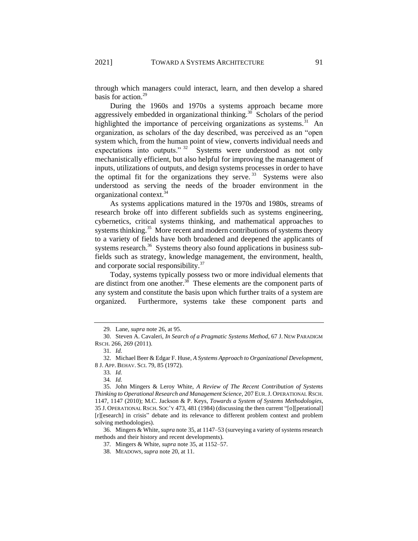through which managers could interact, learn, and then develop a shared basis for action.<sup>29</sup>

During the 1960s and 1970s a systems approach became more aggressively embedded in organizational thinking.<sup>30</sup> Scholars of the period highlighted the importance of perceiving organizations as systems.<sup>31</sup> An organization, as scholars of the day described, was perceived as an "open system which, from the human point of view, converts individual needs and expectations into outputs."  $32$  Systems were understood as not only mechanistically efficient, but also helpful for improving the management of inputs, utilizations of outputs, and design systems processes in order to have the optimal fit for the organizations they serve.<sup>33</sup> Systems were also understood as serving the needs of the broader environment in the organizational context.<sup>34</sup>

<span id="page-7-0"></span>As systems applications matured in the 1970s and 1980s, streams of research broke off into different subfields such as systems engineering, cybernetics, critical systems thinking, and mathematical approaches to systems thinking. $35$  More recent and modern contributions of systems theory to a variety of fields have both broadened and deepened the applicants of systems research.<sup>36</sup> Systems theory also found applications in business subfields such as strategy, knowledge management, the environment, health, and corporate social responsibility.<sup>37</sup>

<span id="page-7-1"></span>Today, systems typically possess two or more individual elements that are distinct from one another.<sup>38</sup> These elements are the component parts of any system and constitute the basis upon which further traits of a system are organized. Furthermore, systems take these component parts and

36. Mingers & White, *supra* not[e 35,](#page-7-0) at 1147–53 (surveying a variety of systems research methods and their history and recent developments).

<span id="page-7-2"></span>

<sup>29</sup>*.* Lane, *supra* not[e 26,](#page-6-1) at 95.

<sup>30.</sup> Steven A. Cavaleri, *In Search of a Pragmatic Systems Method*, 67 J. NEW PARADIGM RSCH. 266, 269 (2011).

<sup>31</sup>*. Id.*

<sup>32.</sup> Michael Beer & Edgar F. Huse, *A Systems Approach to Organizational Development*, 8 J. APP. BEHAV. SCI. 79, 85 (1972).

<sup>33</sup>*. Id.*

<sup>34</sup>*. Id.*

<sup>35.</sup> John Mingers & Leroy White, *A Review of The Recent Contribution of Systems Thinking to Operational Research and Management Science*, 207 EUR.J. OPERATIONAL RSCH. 1147, 1147 (2010); M.C. Jackson & P. Keys, *Towards a System of Systems Methodologies*, 35 J. OPERATIONAL RSCH. SOC'Y 473, 481 (1984) (discussing the then current "[o][perational] [r][esearch] in crisis" debate and its relevance to different problem context and problem solving methodologies).

<sup>37</sup>*.* Mingers & White, *supra* not[e 35,](#page-7-0) at 1152–57.

<sup>38.</sup> MEADOWS, *supra* not[e 20,](#page-6-2) at 11.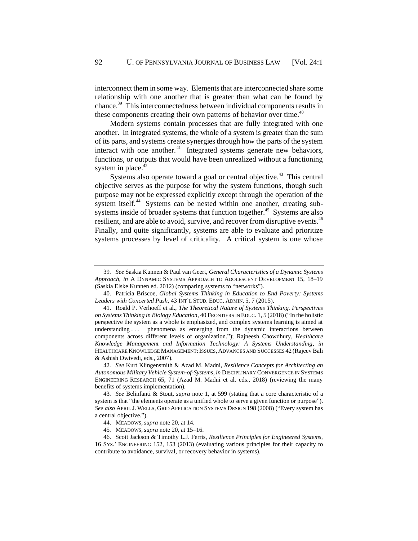interconnect them in some way. Elements that are interconnected share some relationship with one another that is greater than what can be found by chance.<sup>39</sup> This interconnectedness between individual components results in these components creating their own patterns of behavior over time.<sup>40</sup>

Modern systems contain processes that are fully integrated with one another. In integrated systems, the whole of a system is greater than the sum of its parts, and systems create synergies through how the parts of the system interact with one another.<sup>41</sup> Integrated systems generate new behaviors, functions, or outputs that would have been unrealized without a functioning system in place. $42$ 

Systems also operate toward a goal or central objective.<sup>43</sup> This central objective serves as the purpose for why the system functions, though such purpose may not be expressed explicitly except through the operation of the system itself.<sup>44</sup> Systems can be nested within one another, creating subsystems inside of broader systems that function together.<sup>45</sup> Systems are also resilient, and are able to avoid, survive, and recover from disruptive events.<sup>46</sup> Finally, and quite significantly, systems are able to evaluate and prioritize systems processes by level of criticality. A critical system is one whose

<sup>39</sup>*. See* Saskia Kunnen & Paul van Geert, *General Characteristics of a Dynamic Systems Approach*, *in* A DYNAMIC SYSTEMS APPROACH TO ADOLESCENT DEVELOPMENT 15, 18–19 (Saskia Elske Kunnen ed. 2012) (comparing systems to "networks").

<sup>40.</sup> Patricia Briscoe, *Global Systems Thinking in Education to End Poverty: Systems Leaders with Concerted Push*, 43 INT'L STUD. EDUC. ADMIN. 5, 7 (2015).

<sup>41.</sup> Roald P. Verhoeff et al., *The Theoretical Nature of Systems Thinking. Perspectives on Systems Thinking in Biology Education*, 40 FRONTIERS IN EDUC. 1, 5 (2018) ("In the holistic perspective the system as a whole is emphasized, and complex systems learning is aimed at understanding . . . phenomena as emerging from the dynamic interactions between components across different levels of organization."); Rajneesh Chowdhury, *Healthcare Knowledge Management and Information Technology: A Systems Understanding*, *in*  HEALTHCARE KNOWLEDGE MANAGEMENT: ISSUES, ADVANCES AND SUCCESSES 42 (Rajeev Bali & Ashish Dwivedi, eds., 2007).

<sup>42</sup>*. See* Kurt Klingensmith & Azad M. Madni, *Resilience Concepts for Architecting an Autonomous Military Vehicle System-of-Systems*, *in* DISCIPLINARY CONVERGENCE IN SYSTEMS ENGINEERING RESEARCH 65, 71 (Azad M. Madni et al. eds., 2018) (reviewing the many benefits of systems implementation).

<sup>43</sup>*. See* Belinfanti & Stout, *supra* note [1,](#page-1-0) at 599 (stating that a core characteristic of a system is that "the elements operate as a unified whole to serve a given function or purpose"). *See also* APRIL J. WELLS, GRID APPLICATION SYSTEMS DESIGN 198 (2008) ("Every system has a central objective.").

<sup>44.</sup> MEADOWS, *supra* not[e 20,](#page-6-2) at 14.

<sup>45</sup>*.* MEADOWS, *supra* not[e 20,](#page-6-2) at 15–16.

<sup>46.</sup> Scott Jackson & Timothy L.J. Ferris, *Resilience Principles for Engineered Systems*, 16 SYS.' ENGINEERING 152, 153 (2013) (evaluating various principles for their capacity to contribute to avoidance, survival, or recovery behavior in systems).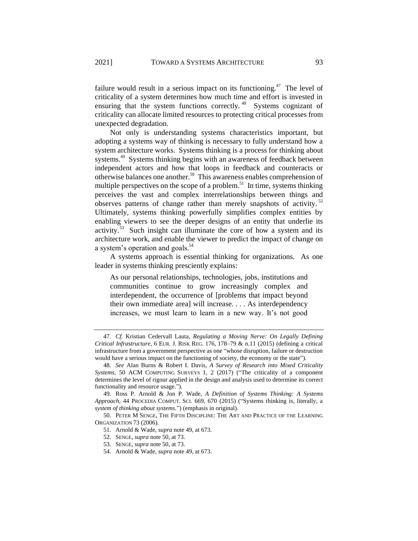failure would result in a serious impact on its functioning.<sup>47</sup> The level of criticality of a system determines how much time and effort is invested in ensuring that the system functions correctly.<sup>48</sup> Systems cognizant of criticality can allocate limited resources to protecting critical processes from unexpected degradation.

<span id="page-9-2"></span><span id="page-9-1"></span><span id="page-9-0"></span>Not only is understanding systems characteristics important, but adopting a systems way of thinking is necessary to fully understand how a system architecture works. Systems thinking is a process for thinking about systems.<sup>49</sup> Systems thinking begins with an awareness of feedback between independent actors and how that loops in feedback and counteracts or otherwise balances one another.<sup>50</sup> This awareness enables comprehension of multiple perspectives on the scope of a problem.<sup>51</sup> In time, systems thinking perceives the vast and complex interrelationships between things and observes patterns of change rather than merely snapshots of activity.<sup>52</sup> Ultimately, systems thinking powerfully simplifies complex entities by enabling viewers to see the deeper designs of an entity that underlie its activity.<sup>53</sup> Such insight can illuminate the core of how a system and its architecture work, and enable the viewer to predict the impact of change on a system's operation and goals.<sup>54</sup>

A systems approach is essential thinking for organizations. As one leader in systems thinking presciently explains:

As our personal relationships, technologies, jobs, institutions and communities continue to grow increasingly complex and interdependent, the occurrence of [problems that impact beyond their own immediate area] will increase. . . . As interdependency increases, we must learn to learn in a new way. It's not good

- 52. SENGE, *supra* note [50,](#page-9-1) at 73.
- 53*.* SENGE, *supra* note [50,](#page-9-1) at 73.
- 54. Arnold & Wade, *supra* not[e 49,](#page-9-0) at 673.

<sup>47</sup>*. Cf.* Kristian Cedervall Lauta, *Regulating a Moving Nerve: On Legally Defining Critical Infrastructure*, 6 EUR. J. RISK REG. 176, 178–79 & n.11 (2015) (defining a critical infrastructure from a government perspective as one "whose disruption, failure or destruction would have a serious impact on the functioning of society, the economy or the state").

<sup>48</sup>*. See* Alan Burns & Robert I. Davis, *A Survey of Research into Mixed Criticality Systems*, 50 ACM COMPUTING SURVEYS 1, 2 (2017) ("The criticality of a component determines the level of rigour applied in the design and analysis used to determine its correct functionality and resource usage.").

<sup>49.</sup> Ross P. Arnold & Jon P. Wade, *A Definition of Systems Thinking: A Systems Approach*, 44 PROCEDIA COMPUT. SCI. 669, 670 (2015) ("Systems thinking is, literally, a *system of thinking about systems*.") (emphasis in original).

<sup>50.</sup> PETER M SENGE, THE FIFTH DISCIPLINE: THE ART AND PRACTICE OF THE LEARNING ORGANIZATION 73 (2006).

<sup>51.</sup> Arnold & Wade, *supra* not[e 49,](#page-9-0) at 673.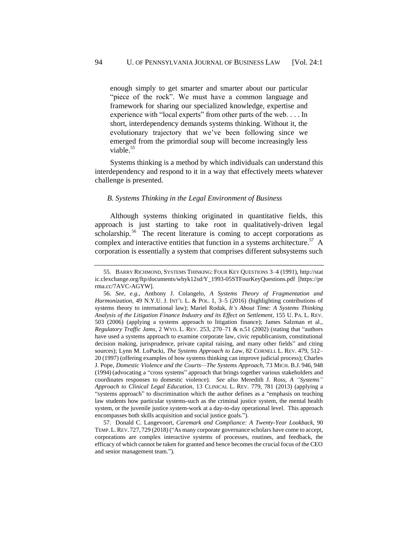enough simply to get smarter and smarter about our particular "piece of the rock". We must have a common language and framework for sharing our specialized knowledge, expertise and experience with "local experts" from other parts of the web. . . . In short, interdependency demands systems thinking. Without it, the evolutionary trajectory that we've been following since we emerged from the primordial soup will become increasingly less viable.<sup>55</sup>

Systems thinking is a method by which individuals can understand this interdependency and respond to it in a way that effectively meets whatever challenge is presented.

#### *B. Systems Thinking in the Legal Environment of Business*

<span id="page-10-0"></span>Although systems thinking originated in quantitative fields, this approach is just starting to take root in qualitatively-driven legal scholarship.<sup>56</sup> The recent literature is coming to accept corporations as complex and interactive entities that function in a systems architecture.<sup>57</sup> A corporation is essentially a system that comprises different subsystems such

57. Donald C. Langevoort, *Caremark and Compliance: A Twenty-Year Lookback*, 90 TEMP.L.REV. 727, 729 (2018) ("As many corporate governance scholars have come to accept, corporations are complex interactive systems of processes, routines, and feedback, the efficacy of which cannot be taken for granted and hence becomes the crucial focus of the CEO and senior management team.").

<sup>55.</sup> BARRY RICHMOND, SYSTEMS THINKING: FOUR KEY QUESTIONS 3–4 (1991), http://stat ic.clexchange.org/ftp/documents/whyk12sd/Y\_1993-05STFourKeyQuestions.pdf [https://pe rma.cc/7AVC-AGYW].

<sup>56</sup>*. See, e.g.*, Anthony J. Colangelo, *A Systems Theory of Fragmentation and Harmonization*, 49 N.Y.U. J. INT'L L. & POL. 1, 3–5 (2016) (highlighting contributions of systems theory to international law); Mariel Rodak, *It's About Time: A Systems Thinking Analysis of the Litigation Finance Industry and its Effect on Settlement*, 155 U. PA. L. REV. 503 (2006) (applying a systems approach to litigation finance); James Salzman et al., *Regulatory Traffic Jams*, 2 WYO. L. REV. 253, 270–71 & n.51 (2002) (stating that "authors have used a systems approach to examine corporate law, civic republicanism, constitutional decision making, jurisprudence, private capital raising, and many other fields" and citing sources); Lynn M. LoPucki, *The Systems Approach to Law*, 82 CORNELL L. REV. 479, 512– 20 (1997) (offering examples of how systems thinking can improve judicial process); Charles J. Pope, *Domestic Violence and the Courts—The Systems Approach*, 73 MICH. B.J. 946, 948 (1994) (advocating a "cross systems" approach that brings together various stakeholders and coordinates responses to domestic violence). *See also* Meredith J. Ross, *A "Systems" Approach to Clinical Legal Education*, 13 CLINICAL L. REV. 779, 781 (2013) (applying a "systems approach" to discrimination which the author defines as a "emphasis on teaching law students how particular systems-such as the criminal justice system, the mental health system, or the juvenile justice system-work at a day-to-day operational level. This approach encompasses both skills acquisition and social justice goals.").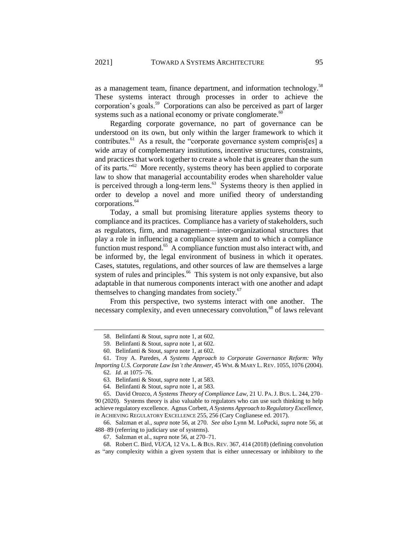<span id="page-11-1"></span>as a management team, finance department, and information technology.<sup>58</sup> These systems interact through processes in order to achieve the corporation's goals.<sup>59</sup> Corporations can also be perceived as part of larger systems such as a national economy or private conglomerate.<sup>60</sup>

Regarding corporate governance, no part of governance can be understood on its own, but only within the larger framework to which it contributes.<sup>61</sup> As a result, the "corporate governance system compris[es] a wide array of complementary institutions, incentive structures, constraints, and practices that work together to create a whole that is greater than the sum of its parts."<sup>62</sup> More recently, systems theory has been applied to corporate law to show that managerial accountability erodes when shareholder value is perceived through a long-term lens. $63$  Systems theory is then applied in order to develop a novel and more unified theory of understanding corporations.<sup>64</sup>

<span id="page-11-0"></span>Today, a small but promising literature applies systems theory to compliance and its practices. Compliance has a variety of stakeholders, such as regulators, firm, and management—inter-organizational structures that play a role in influencing a compliance system and to which a compliance function must respond.<sup>65</sup> A compliance function must also interact with, and be informed by, the legal environment of business in which it operates. Cases, statutes, regulations, and other sources of law are themselves a large system of rules and principles.<sup>66</sup> This system is not only expansive, but also adaptable in that numerous components interact with one another and adapt themselves to changing mandates from society.<sup>67</sup>

From this perspective, two systems interact with one another. The necessary complexity, and even unnecessary convolution,<sup>68</sup> of laws relevant

<sup>58.</sup> Belinfanti & Stout, *supra* not[e 1,](#page-1-0) at 602.

<sup>59</sup>*.* Belinfanti & Stout, *supra* not[e 1,](#page-1-0) at 602.

<sup>60</sup>*.* Belinfanti & Stout, *supra* not[e 1,](#page-1-0) at 602.

<sup>61.</sup> Troy A. Paredes, *A Systems Approach to Corporate Governance Reform: Why Importing U.S. Corporate Law Isn't the Answer*, 45 WM. & MARY L.REV. 1055, 1076 (2004).

<sup>62</sup>*. Id.* at 1075–76.

<sup>63.</sup> Belinfanti & Stout, *supra* not[e 1,](#page-1-0) at 583.

<sup>64</sup>*.* Belinfanti & Stout, *supra* not[e 1,](#page-1-0) at 583.

<sup>65.</sup> David Orozco, *A Systems Theory of Compliance Law*, 21 U. PA.J. BUS. L. 244, 270– 90 (2020). Systems theory is also valuable to regulators who can use such thinking to help achieve regulatory excellence. Agnus Corbett, *A Systems Approach to Regulatory Excellence*, *in* ACHIEVING REGULATORY EXCELLENCE 255, 256 (Cary Coglianese ed. 2017).

<sup>66.</sup> Salzman et al., *supra* note [56,](#page-10-0) at 270. *See also* Lynn M. LoPucki, *supra* note [56,](#page-10-0) at 488–89 (referring to judiciary use of systems).

<sup>67.</sup> Salzman et al., *supra* note [56,](#page-10-0) at 270–71.

<sup>68.</sup> Robert C. Bird, *VUCA*, 12 VA. L. & BUS.REV. 367, 414 (2018) (defining convolution as "any complexity within a given system that is either unnecessary or inhibitory to the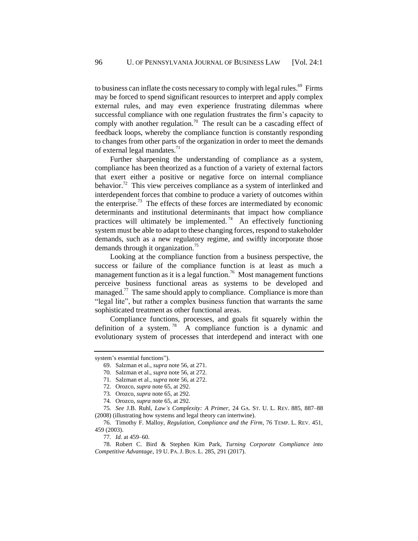to business can inflate the costs necessary to comply with legal rules. $69$  Firms may be forced to spend significant resources to interpret and apply complex external rules, and may even experience frustrating dilemmas where successful compliance with one regulation frustrates the firm's capacity to comply with another regulation.<sup>70</sup> The result can be a cascading effect of feedback loops, whereby the compliance function is constantly responding to changes from other parts of the organization in order to meet the demands of external legal mandates.<sup>71</sup>

Further sharpening the understanding of compliance as a system, compliance has been theorized as a function of a variety of external factors that exert either a positive or negative force on internal compliance behavior.<sup>72</sup> This view perceives compliance as a system of interlinked and interdependent forces that combine to produce a variety of outcomes within the enterprise.<sup>73</sup> The effects of these forces are intermediated by economic determinants and institutional determinants that impact how compliance practices will ultimately be implemented.<sup>74</sup> An effectively functioning system must be able to adapt to these changing forces, respond to stakeholder demands, such as a new regulatory regime, and swiftly incorporate those demands through it organization.<sup>75</sup>

Looking at the compliance function from a business perspective, the success or failure of the compliance function is at least as much a management function as it is a legal function.<sup>76</sup> Most management functions perceive business functional areas as systems to be developed and managed.<sup>77</sup> The same should apply to compliance. Compliance is more than "legal lite", but rather a complex business function that warrants the same sophisticated treatment as other functional areas.

Compliance functions, processes, and goals fit squarely within the definition of a system.<sup>78</sup> A compliance function is a dynamic and evolutionary system of processes that interdepend and interact with one

system's essential functions").

<sup>69.</sup> Salzman et al., *supra* note [56,](#page-10-0) at 271.

<sup>70</sup>*.* Salzman et al., *supra* note [56,](#page-10-0) at 272.

<sup>71</sup>*.* Salzman et al., *supra* note [56,](#page-10-0) at 272.

<sup>72.</sup> Orozco, *supra* not[e 65,](#page-11-0) at 292.

<sup>73</sup>*.* Orozco, *supra* not[e 65,](#page-11-0) at 292.

<sup>74</sup>*.* Orozco, *supra* not[e 65,](#page-11-0) at 292.

<sup>75</sup>*. See* J.B. Ruhl, *Law's Complexity: A Primer*, 24 GA. ST. U. L. REV. 885, 887–88 (2008) (illustrating how systems and legal theory can intertwine).

<sup>76.</sup> Timothy F. Malloy, *Regulation, Compliance and the Firm*, 76 TEMP. L. REV. 451, 459 (2003).

<sup>77</sup>*. Id.* at 459–60.

<sup>78.</sup> Robert C. Bird & Stephen Kim Park, *Turning Corporate Compliance into Competitive Advantage*, 19 U. PA.J. BUS. L. 285, 291 (2017).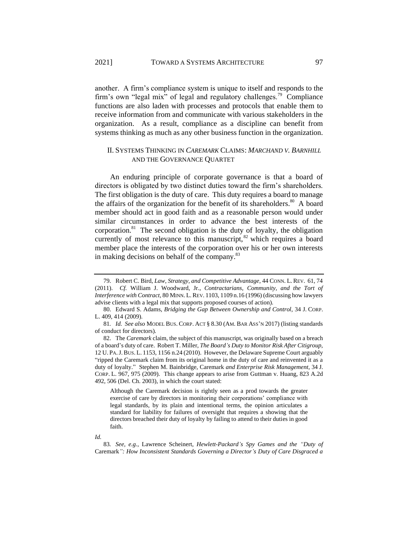another. A firm's compliance system is unique to itself and responds to the firm's own "legal mix" of legal and regulatory challenges.<sup>79</sup> Compliance functions are also laden with processes and protocols that enable them to receive information from and communicate with various stakeholders in the organization. As a result, compliance as a discipline can benefit from systems thinking as much as any other business function in the organization.

# II. SYSTEMS THINKING IN *CAREMARK* CLAIMS: *MARCHAND V. BARNHILL* AND THE GOVERNANCE QUARTET

An enduring principle of corporate governance is that a board of directors is obligated by two distinct duties toward the firm's shareholders. The first obligation is the duty of care. This duty requires a board to manage the affairs of the organization for the benefit of its shareholders.<sup>80</sup> A board member should act in good faith and as a reasonable person would under similar circumstances in order to advance the best interests of the corporation. $81$  The second obligation is the duty of loyalty, the obligation currently of most relevance to this manuscript,  $^{82}$  which requires a board member place the interests of the corporation over his or her own interests in making decisions on behalf of the company.<sup>83</sup>

Although the Caremark decision is rightly seen as a prod towards the greater exercise of care by directors in monitoring their corporations' compliance with legal standards, by its plain and intentional terms, the opinion articulates a standard for liability for failures of oversight that requires a showing that the directors breached their duty of loyalty by failing to attend to their duties in good faith.

<sup>79.</sup> Robert C. Bird, *Law, Strategy, and Competitive Advantage*, 44 CONN. L.REV. 61, 74 (2011). *Cf.* William J. Woodward, Jr., *Contractarians, Community, and the Tort of Interference with Contract*, 80 MINN. L.REV. 1103, 1109 n.16 (1996) (discussing how lawyers advise clients with a legal mix that supports proposed courses of action).

<sup>80.</sup> Edward S. Adams, *Bridging the Gap Between Ownership and Control*, 34 J. CORP. L. 409, 414 (2009).

<sup>81</sup>*. Id. See also* MODEL BUS. CORP. ACT § 8.30 (AM. BAR ASS'N 2017) (listing standards of conduct for directors)*.*

<sup>82.</sup> The *Caremark* claim, the subject of this manuscript, was originally based on a breach of a board's duty of care. Robert T. Miller, *The Board's Duty to Monitor Risk After Citigroup*, 12 U. PA.J.BUS. L. 1153, 1156 n.24 (2010). However, the Delaware Supreme Court arguably "ripped the Caremark claim from its original home in the duty of care and reinvented it as a duty of loyalty." Stephen M. Bainbridge, Caremark *and Enterprise Risk Management*, 34 J. CORP. L. 967, 975 (2009). This change appears to arise from Guttman v. Huang, 823 A.2d 492, 506 (Del. Ch. 2003), in which the court stated:

*Id.*

<sup>83</sup>*. See, e.g.*, Lawrence Scheinert, *Hewlett-Packard's Spy Games and the "Duty of*  Caremark*": How Inconsistent Standards Governing a Director's Duty of Care Disgraced a*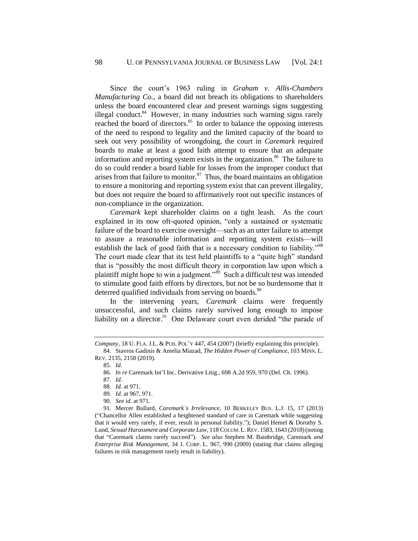Since the court's 1963 ruling in *Graham v. Allis-Chambers Manufacturing Co.*, a board did not breach its obligations to shareholders unless the board encountered clear and present warnings signs suggesting illegal conduct.<sup>84</sup> However, in many industries such warning signs rarely reached the board of directors. $85$  In order to balance the opposing interests of the need to respond to legality and the limited capacity of the board to seek out very possibility of wrongdoing, the court in *Caremark* required boards to make at least a good faith attempt to ensure that an adequate information and reporting system exists in the organization.<sup>86</sup> The failure to do so could render a board liable for losses from the improper conduct that arises from that failure to monitor. $87$  Thus, the board maintains an obligation to ensure a monitoring and reporting system exist that can prevent illegality, but does not require the board to affirmatively root out specific instances of non-compliance in the organization.

*Caremark* kept shareholder claims on a tight leash. As the court explained in its now oft-quoted opinion, "only a sustained or systematic failure of the board to exercise oversight—such as an utter failure to attempt to assure a reasonable information and reporting system exists—will establish the lack of good faith that is a necessary condition to liability."<sup>88</sup> The court made clear that its test held plaintiffs to a "quite high" standard that is "possibly the most difficult theory in corporation law upon which a plaintiff might hope to win a judgment."<sup>89</sup> Such a difficult test was intended to stimulate good faith efforts by directors, but not be so burdensome that it deterred qualified individuals from serving on boards. $90$ 

<span id="page-14-0"></span>In the intervening years, *Caremark* claims were frequently unsuccessful, and such claims rarely survived long enough to impose liability on a director.<sup>91</sup> One Delaware court even derided "the parade of

85*. Id.*

*Company*, 18 U. FLA.J.L. & PUB. POL'Y 447, 454 (2007) (briefly explaining this principle). 84. Stavros Gadinis & Amelia Miazad, *The Hidden Power of Compliance*, 103 MINN. L.

REV. 2135, 2158 (2019).

<sup>86</sup>*. In re* Caremark Int'l Inc. Derivative Litig., 698 A.2d 959, 970 (Del. Ch. 1996).

<sup>87</sup>*. Id.*

<sup>88</sup>*. Id.* at 971.

<sup>89</sup>*. Id.* at 967, 971.

<sup>90</sup>*. See id.* at 971.

<sup>91.</sup> Mercer Bullard, *Caremark's Irrelevance*, 10 BERKELEY BUS. L.J. 15, 17 (2013) ("Chancellor Allen established a heightened standard of care in Caremark while suggesting that it would very rarely, if ever, result in personal liability."); Daniel Hemel & Dorothy S. Lund, *Sexual Harassment and Corporate Law*, 118 COLUM. L.REV. 1583, 1643 (2018)(noting that "Caremark claims rarely succeed"). *See also* Stephen M. Bainbridge, Caremark *and Enterprise Risk Management*, 34 J. CORP. L. 967, 990 (2009) (stating that claims alleging failures in risk management rarely result in liability).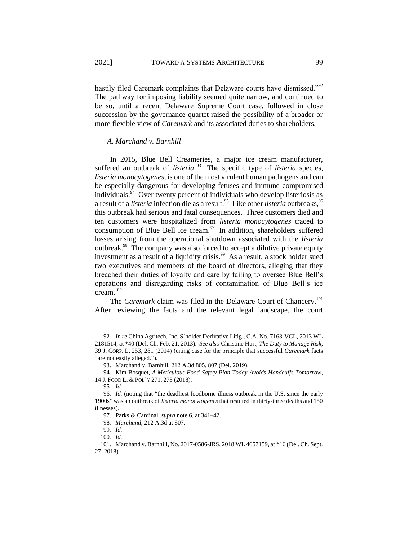hastily filed Caremark complaints that Delaware courts have dismissed."<sup>92</sup> The pathway for imposing liability seemed quite narrow, and continued to be so, until a recent Delaware Supreme Court case, followed in close succession by the governance quartet raised the possibility of a broader or more flexible view of *Caremark* and its associated duties to shareholders.

#### *A. Marchand v. Barnhill*

In 2015, Blue Bell Creameries, a major ice cream manufacturer, suffered an outbreak of *listeria*.<sup>93</sup> The specific type of *listeria* species, *listeria monocytogenes*, is one of the most virulent human pathogens and can be especially dangerous for developing fetuses and immune-compromised individuals.<sup>94</sup> Over twenty percent of individuals who develop listeriosis as a result of a *listeria* infection die as a result.<sup>95</sup> Like other *listeria* outbreaks, <sup>96</sup> this outbreak had serious and fatal consequences. Three customers died and ten customers were hospitalized from *listeria monocytogenes* traced to consumption of Blue Bell ice cream. $\frac{97}{10}$  In addition, shareholders suffered losses arising from the operational shutdown associated with the *listeria* outbreak.<sup>98</sup> The company was also forced to accept a dilutive private equity investment as a result of a liquidity crisis. $99$  As a result, a stock holder sued two executives and members of the board of directors, alleging that they breached their duties of loyalty and care by failing to oversee Blue Bell's operations and disregarding risks of contamination of Blue Bell's ice cream.<sup>100</sup>

The *Caremark* claim was filed in the Delaware Court of Chancery.<sup>101</sup> After reviewing the facts and the relevant legal landscape, the court

<sup>92</sup>*. In re* China Agritech, Inc. S'holder Derivative Litig., C.A. No. 7163-VCL, 2013 WL 2181514, at \*40 (Del. Ch. Feb. 21, 2013). *See also* Christine Hurt, *The Duty to Manage Risk*, 39 J. CORP. L. 253, 281 (2014) (citing case for the principle that successful *Caremark* facts "are not easily alleged.").

<sup>93.</sup> Marchand v. Barnhill, 212 A.3d 805, 807 (Del. 2019).

<sup>94.</sup> Kim Bosquet, *A Meticulous Food Safety Plan Today Avoids Handcuffs Tomorrow*, 14 J. FOOD L. & POL'Y 271, 278 (2018).

<sup>95</sup>*. Id.*

<sup>96</sup>*. Id.* (noting that "the deadliest foodborne illness outbreak in the U.S. since the early 1900s" was an outbreak of *listeria monocytogenes* that resulted in thirty-three deaths and 150 illnesses).

<sup>97.</sup> Parks & Cardinal, *supra* not[e 6,](#page-2-0) at 341–42.

<sup>98</sup>*. Marchand*, 212 A.3d at 807.

<sup>99</sup>*. Id.*

<sup>100</sup>*. Id.*

<sup>101.</sup> Marchand v. Barnhill, No. 2017-0586-JRS, 2018 WL 4657159, at \*16 (Del. Ch. Sept. 27, 2018).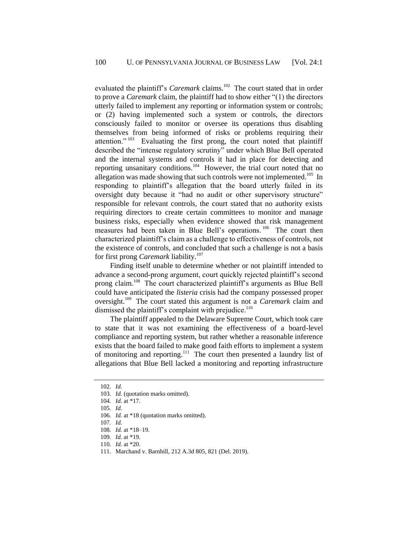evaluated the plaintiff's *Caremark* claims.<sup>102</sup> The court stated that in order to prove a *Caremark* claim, the plaintiff had to show either "(1) the directors utterly failed to implement any reporting or information system or controls; or (2) having implemented such a system or controls, the directors consciously failed to monitor or oversee its operations thus disabling themselves from being informed of risks or problems requiring their attention."<sup>103</sup> Evaluating the first prong, the court noted that plaintiff described the "intense regulatory scrutiny" under which Blue Bell operated and the internal systems and controls it had in place for detecting and reporting unsanitary conditions.<sup>104</sup> However, the trial court noted that no allegation was made showing that such controls were not implemented.<sup>105</sup> In responding to plaintiff's allegation that the board utterly failed in its oversight duty because it "had no audit or other supervisory structure" responsible for relevant controls, the court stated that no authority exists requiring directors to create certain committees to monitor and manage business risks, especially when evidence showed that risk management measures had been taken in Blue Bell's operations.<sup>106</sup> The court then characterized plaintiff's claim as a challenge to effectiveness of controls, not the existence of controls, and concluded that such a challenge is not a basis for first prong *Caremark* liability.<sup>107</sup>

Finding itself unable to determine whether or not plaintiff intended to advance a second-prong argument, court quickly rejected plaintiff's second prong claim.<sup>108</sup> The court characterized plaintiff's arguments as Blue Bell could have anticipated the *listeria* crisis had the company possessed proper oversight.<sup>109</sup> The court stated this argument is not a *Caremark* claim and dismissed the plaintiff's complaint with prejudice.<sup>110</sup>

The plaintiff appealed to the Delaware Supreme Court, which took care to state that it was not examining the effectiveness of a board-level compliance and reporting system, but rather whether a reasonable inference exists that the board failed to make good faith efforts to implement a system of monitoring and reporting.<sup>111</sup> The court then presented a laundry list of allegations that Blue Bell lacked a monitoring and reporting infrastructure

111. Marchand v. Barnhill, 212 A.3d 805, 821 (Del. 2019).

<sup>102</sup>*. Id.*

<sup>103</sup>*. Id.* (quotation marks omitted).

<sup>104</sup>*. Id.* at \*17.

<sup>105</sup>*. Id.*

<sup>106</sup>*. Id.* at \*18 (quotation marks omitted).

<sup>107</sup>*. Id.*

<sup>108</sup>*. Id.* at \*18–19.

<sup>109</sup>*. Id.* at \*19.

<sup>110</sup>*. Id.* at \*20.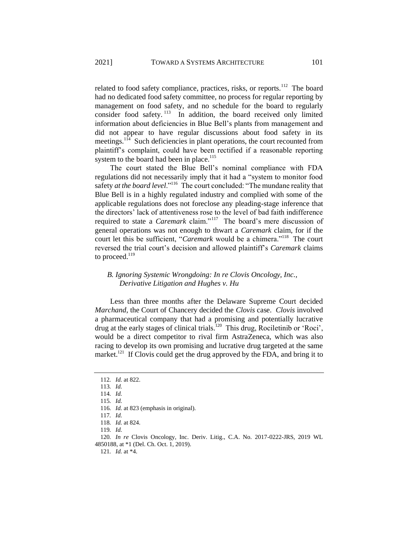related to food safety compliance, practices, risks, or reports.<sup>112</sup> The board had no dedicated food safety committee, no process for regular reporting by management on food safety, and no schedule for the board to regularly consider food safety.<sup>113</sup> In addition, the board received only limited information about deficiencies in Blue Bell's plants from management and did not appear to have regular discussions about food safety in its meetings.<sup>114</sup> Such deficiencies in plant operations, the court recounted from plaintiff's complaint, could have been rectified if a reasonable reporting system to the board had been in place.<sup>115</sup>

The court stated the Blue Bell's nominal compliance with FDA regulations did not necessarily imply that it had a "system to monitor food safety *at the board level*."<sup>116</sup> The court concluded: "The mundane reality that Blue Bell is in a highly regulated industry and complied with some of the applicable regulations does not foreclose any pleading-stage inference that the directors' lack of attentiveness rose to the level of bad faith indifference required to state a *Caremark* claim."<sup>117</sup> The board's mere discussion of general operations was not enough to thwart a *Caremark* claim, for if the court let this be sufficient, "Caremark would be a chimera."<sup>118</sup> The court reversed the trial court's decision and allowed plaintiff's *Caremark* claims to proceed.<sup>119</sup>

# *B. Ignoring Systemic Wrongdoing: In re Clovis Oncology, Inc., Derivative Litigation and Hughes v. Hu*

Less than three months after the Delaware Supreme Court decided *Marchand*, the Court of Chancery decided the *Clovis* case. *Clovis* involved a pharmaceutical company that had a promising and potentially lucrative drug at the early stages of clinical trials.<sup>120</sup> This drug, Rociletinib or 'Roci', would be a direct competitor to rival firm AstraZeneca, which was also racing to develop its own promising and lucrative drug targeted at the same market.<sup>121</sup> If Clovis could get the drug approved by the FDA, and bring it to

121*. Id.* at \*4.

<sup>112</sup>*. Id.* at 822.

<sup>113</sup>*. Id.*

<sup>114</sup>*. Id.*

<sup>115</sup>*. Id.*

<sup>116</sup>*. Id.* at 823 (emphasis in original).

<sup>117</sup>*. Id.*

<sup>118</sup>*. Id.* at 824.

<sup>119</sup>*. Id.*

<sup>120</sup>*. In re* Clovis Oncology, Inc. Deriv. Litig., C.A. No. 2017-0222-JRS, 2019 WL 4850188, at \*1 (Del. Ch. Oct. 1, 2019).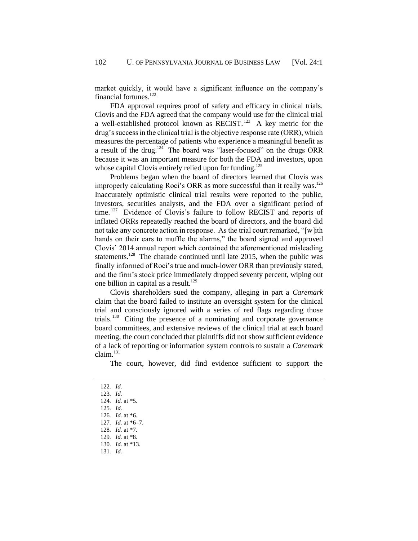market quickly, it would have a significant influence on the company's financial fortunes. $^{122}$ 

FDA approval requires proof of safety and efficacy in clinical trials. Clovis and the FDA agreed that the company would use for the clinical trial a well-established protocol known as RECIST.<sup>123</sup> A key metric for the drug's success in the clinical trial is the objective response rate (ORR), which measures the percentage of patients who experience a meaningful benefit as a result of the drug.<sup>124</sup> The board was "laser-focused" on the drugs ORR because it was an important measure for both the FDA and investors, upon whose capital Clovis entirely relied upon for funding.<sup>125</sup>

Problems began when the board of directors learned that Clovis was improperly calculating Roci's ORR as more successful than it really was.<sup>126</sup> Inaccurately optimistic clinical trial results were reported to the public, investors, securities analysts, and the FDA over a significant period of time.<sup>127</sup> Evidence of Clovis's failure to follow RECIST and reports of inflated ORRs repeatedly reached the board of directors, and the board did not take any concrete action in response. As the trial court remarked, "[w]ith hands on their ears to muffle the alarms," the board signed and approved Clovis' 2014 annual report which contained the aforementioned misleading statements.<sup>128</sup> The charade continued until late 2015, when the public was finally informed of Roci's true and much-lower ORR than previously stated, and the firm's stock price immediately dropped seventy percent, wiping out one billion in capital as a result.<sup>129</sup>

Clovis shareholders sued the company, alleging in part a *Caremark* claim that the board failed to institute an oversight system for the clinical trial and consciously ignored with a series of red flags regarding those trials.<sup>130</sup> Citing the presence of a nominating and corporate governance board committees, and extensive reviews of the clinical trial at each board meeting, the court concluded that plaintiffs did not show sufficient evidence of a lack of reporting or information system controls to sustain a *Caremark*   $claim.<sup>131</sup>$ 

The court, however, did find evidence sufficient to support the

- 125*. Id.*
- 126*. Id.* at \*6.
- 127*. Id.* at \*6–7.
- 128*. Id.* at \*7.

- 130*. Id.* at \*13.
- 131*. Id.*

<sup>122</sup>*. Id.* 123*. Id.*

<sup>124</sup>*. Id.* at \*5.

<sup>129</sup>*. Id.* at \*8.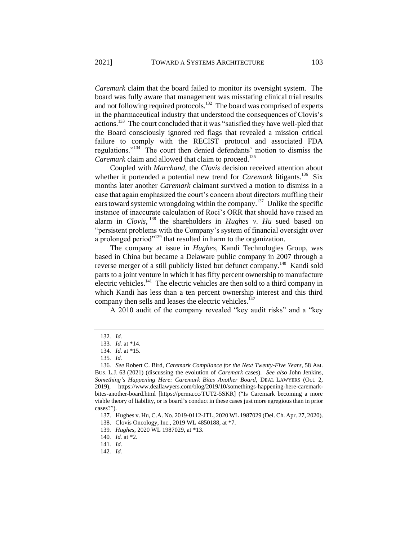*Caremark* claim that the board failed to monitor its oversight system. The board was fully aware that management was misstating clinical trial results and not following required protocols.<sup>132</sup> The board was comprised of experts in the pharmaceutical industry that understood the consequences of Clovis's actions.<sup>133</sup> The court concluded that it was "satisfied they have well-pled that the Board consciously ignored red flags that revealed a mission critical failure to comply with the RECIST protocol and associated FDA regulations."<sup>134</sup> The court then denied defendants' motion to dismiss the *Caremark* claim and allowed that claim to proceed.<sup>135</sup>

<span id="page-19-0"></span>Coupled with *Marchand*, the *Clovis* decision received attention about whether it portended a potential new trend for *Caremark* litigants.<sup>136</sup> Six months later another *Caremark* claimant survived a motion to dismiss in a case that again emphasized the court's concern about directors muffling their ears toward systemic wrongdoing within the company.<sup>137</sup> Unlike the specific instance of inaccurate calculation of Roci's ORR that should have raised an alarm in *Clovis*, <sup>138</sup> the shareholders in *Hughes v. Hu* sued based on "persistent problems with the Company's system of financial oversight over a prolonged period"<sup>139</sup> that resulted in harm to the organization.

The company at issue in *Hughes*, Kandi Technologies Group, was based in China but became a Delaware public company in 2007 through a reverse merger of a still publicly listed but defunct company.<sup>140</sup> Kandi sold parts to a joint venture in which it has fifty percent ownership to manufacture electric vehicles.<sup>141</sup> The electric vehicles are then sold to a third company in which Kandi has less than a ten percent ownership interest and this third company then sells and leases the electric vehicles.<sup>142</sup>

A 2010 audit of the company revealed "key audit risks" and a "key

142*. Id.*

<sup>132</sup>*. Id.*

<sup>133</sup>*. Id.* at \*14.

<sup>134</sup>*. Id.* at \*15.

<sup>135</sup>*. Id.*

<sup>136</sup>*. See* Robert C. Bird, *Caremark Compliance for the Next Twenty-Five Years*, 58 AM. BUS. L.J. 63 (2021) (discussing the evolution of *Caremark* cases). *See also* John Jenkins, *Something's Happening Here: Caremark Bites Another Board*, DEAL LAWYERS (Oct. 2, 2019), https://www.deallawyers.com/blog/2019/10/somethings-happening-here-caremarkbites-another-board.html [https://perma.cc/TUT2-5SKR] ("Is Caremark becoming a more viable theory of liability, or is board's conduct in these cases just more egregious than in prior cases?").

<sup>137.</sup> Hughes v. Hu, C.A. No. 2019-0112-JTL, 2020 WL 1987029 (Del. Ch. Apr. 27, 2020).

<sup>138.</sup> Clovis Oncology, Inc., 2019 WL 4850188, at \*7.

<sup>139</sup>*. Hughes*, 2020 WL 1987029, at \*13.

<sup>140</sup>*. Id.* at \*2.

<sup>141</sup>*. Id.*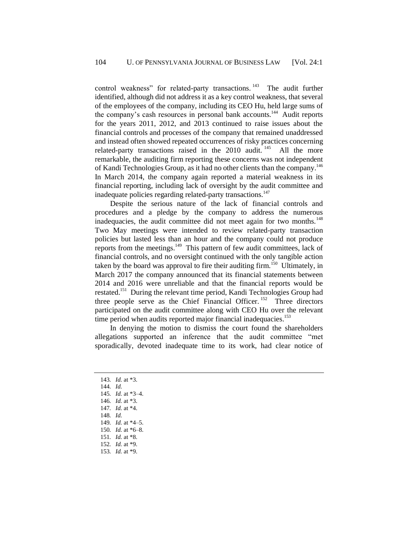control weakness" for related-party transactions.<sup>143</sup> The audit further identified, although did not address it as a key control weakness, that several of the employees of the company, including its CEO Hu, held large sums of the company's cash resources in personal bank accounts.<sup>144</sup> Audit reports for the years 2011, 2012, and 2013 continued to raise issues about the financial controls and processes of the company that remained unaddressed and instead often showed repeated occurrences of risky practices concerning related-party transactions raised in the 2010 audit.<sup>145</sup> All the more remarkable, the auditing firm reporting these concerns was not independent of Kandi Technologies Group, as it had no other clients than the company.<sup>146</sup> In March 2014, the company again reported a material weakness in its financial reporting, including lack of oversight by the audit committee and inadequate policies regarding related-party transactions.<sup>147</sup>

Despite the serious nature of the lack of financial controls and procedures and a pledge by the company to address the numerous inadequacies, the audit committee did not meet again for two months.<sup>148</sup> Two May meetings were intended to review related-party transaction policies but lasted less than an hour and the company could not produce reports from the meetings. $149$  This pattern of few audit committees, lack of financial controls, and no oversight continued with the only tangible action taken by the board was approval to fire their auditing firm.<sup>150</sup> Ultimately, in March 2017 the company announced that its financial statements between 2014 and 2016 were unreliable and that the financial reports would be restated.<sup>151</sup> During the relevant time period, Kandi Technologies Group had three people serve as the Chief Financial Officer.  $152$  Three directors participated on the audit committee along with CEO Hu over the relevant time period when audits reported major financial inadequacies.<sup>153</sup>

In denying the motion to dismiss the court found the shareholders allegations supported an inference that the audit committee "met sporadically, devoted inadequate time to its work, had clear notice of

*. Id.* at \*3. 144*. Id. . Id.* at \*3–4. *. Id.* at \*3. *. Id.* at \*4. 148*. Id. . Id.* at \*4–5. *. Id.* at \*6–8. *. Id.* at \*8. *. Id.* at \*9. *. Id.* at \*9.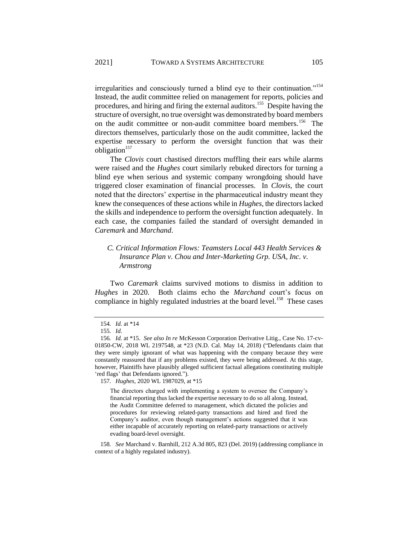irregularities and consciously turned a blind eye to their continuation."<sup>154</sup> Instead, the audit committee relied on management for reports, policies and procedures, and hiring and firing the external auditors.<sup>155</sup> Despite having the structure of oversight, no true oversight was demonstrated by board members on the audit committee or non-audit committee board members.<sup>156</sup> The directors themselves, particularly those on the audit committee, lacked the expertise necessary to perform the oversight function that was their obligation $157$ 

The *Clovis* court chastised directors muffling their ears while alarms were raised and the *Hughes* court similarly rebuked directors for turning a blind eye when serious and systemic company wrongdoing should have triggered closer examination of financial processes. In *Clovis*, the court noted that the directors' expertise in the pharmaceutical industry meant they knew the consequences of these actions while in *Hughes*, the directors lacked the skills and independence to perform the oversight function adequately. In each case, the companies failed the standard of oversight demanded in *Caremark* and *Marchand*.

# *C. Critical Information Flows: Teamsters Local 443 Health Services & Insurance Plan v. Chou and Inter-Marketing Grp. USA, Inc. v. Armstrong*

Two *Caremark* claims survived motions to dismiss in addition to *Hughes* in 2020. Both claims echo the *Marchand* court's focus on compliance in highly regulated industries at the board level.<sup>158</sup> These cases

157*. Hughes*, 2020 WL 1987029, at \*15

The directors charged with implementing a system to oversee the Company's financial reporting thus lacked the expertise necessary to do so all along. Instead, the Audit Committee deferred to management, which dictated the policies and procedures for reviewing related-party transactions and hired and fired the Company's auditor, even though management's actions suggested that it was either incapable of accurately reporting on related-party transactions or actively evading board-level oversight.

158*. See* Marchand v. Barnhill, 212 A.3d 805, 823 (Del. 2019) (addressing compliance in context of a highly regulated industry).

<sup>154</sup>*. Id.* at \*14

<sup>155</sup>*. Id.*

<sup>156</sup>*. Id.* at \*15. *See also In re* McKesson Corporation Derivative Litig., Case No. 17-cv-01850-CW, 2018 WL 2197548, at \*23 (N.D. Cal. May 14, 2018) ("Defendants claim that they were simply ignorant of what was happening with the company because they were constantly reassured that if any problems existed, they were being addressed. At this stage, however, Plaintiffs have plausibly alleged sufficient factual allegations constituting multiple 'red flags' that Defendants ignored.").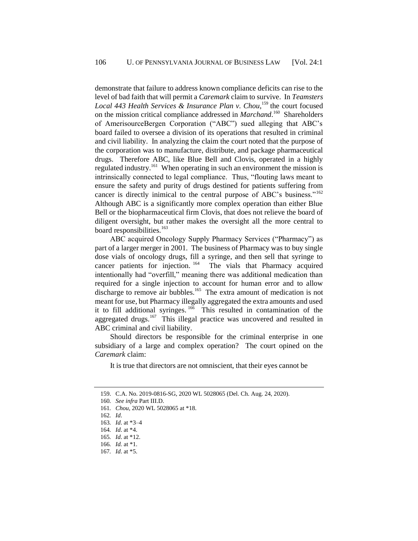demonstrate that failure to address known compliance deficits can rise to the level of bad faith that will permit a *Caremark* claim to survive. In *Teamsters*  Local 443 Health Services & Insurance Plan v. Chou,<sup>159</sup> the court focused on the mission critical compliance addressed in *Marchand*.<sup>160</sup> Shareholders of AmerisourceBergen Corporation ("ABC") sued alleging that ABC's board failed to oversee a division of its operations that resulted in criminal and civil liability. In analyzing the claim the court noted that the purpose of the corporation was to manufacture, distribute, and package pharmaceutical drugs. Therefore ABC, like Blue Bell and Clovis, operated in a highly regulated industry.<sup>161</sup> When operating in such an environment the mission is intrinsically connected to legal compliance. Thus, "flouting laws meant to ensure the safety and purity of drugs destined for patients suffering from cancer is directly inimical to the central purpose of ABC's business."<sup>162</sup> Although ABC is a significantly more complex operation than either Blue Bell or the biopharmaceutical firm Clovis, that does not relieve the board of diligent oversight, but rather makes the oversight all the more central to board responsibilities.<sup>163</sup>

ABC acquired Oncology Supply Pharmacy Services ("Pharmacy") as part of a larger merger in 2001. The business of Pharmacy was to buy single dose vials of oncology drugs, fill a syringe, and then sell that syringe to cancer patients for injection.<sup>164</sup> The vials that Pharmacy acquired intentionally had "overfill," meaning there was additional medication than required for a single injection to account for human error and to allow discharge to remove air bubbles.<sup>165</sup> The extra amount of medication is not meant for use, but Pharmacy illegally aggregated the extra amounts and used it to fill additional syringes.<sup>166</sup> This resulted in contamination of the aggregated drugs.<sup>167</sup> This illegal practice was uncovered and resulted in ABC criminal and civil liability.

Should directors be responsible for the criminal enterprise in one subsidiary of a large and complex operation? The court opined on the *Caremark* claim:

It is true that directors are not omniscient, that their eyes cannot be

<sup>159.</sup> C.A. No. 2019-0816-SG, 2020 WL 5028065 (Del. Ch. Aug. 24, 2020).

<sup>160</sup>*. See infra* Part II[I.D.](#page-35-0) 

<sup>161</sup>*. Chou*, 2020 WL 5028065 at \*18.

<sup>162</sup>*. Id*.

<sup>163</sup>*. Id*. at \*3–4

<sup>164</sup>*. Id*. at \*4.

<sup>165</sup>*. Id*. at \*12.

<sup>166</sup>*. Id.* at \*1.

<sup>167</sup>*. Id*. at \*5.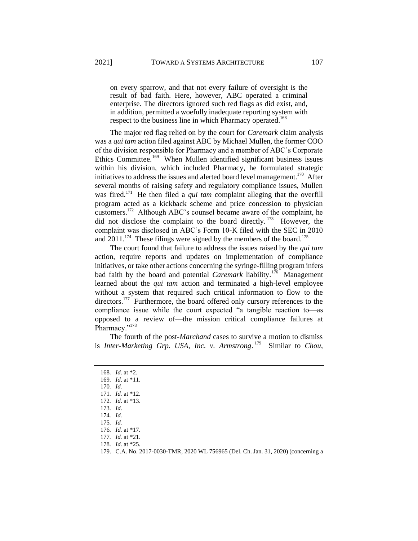on every sparrow, and that not every failure of oversight is the result of bad faith. Here, however, ABC operated a criminal enterprise. The directors ignored such red flags as did exist, and, in addition, permitted a woefully inadequate reporting system with respect to the business line in which Pharmacy operated.<sup>168</sup>

The major red flag relied on by the court for *Caremark* claim analysis was a *qui tam* action filed against ABC by Michael Mullen, the former COO of the division responsible for Pharmacy and a member of ABC's Corporate Ethics Committee.<sup>169</sup> When Mullen identified significant business issues within his division, which included Pharmacy, he formulated strategic initiatives to address the issues and alerted board level management.<sup>170</sup> After several months of raising safety and regulatory compliance issues, Mullen was fired.<sup>171</sup> He then filed a *qui tam* complaint alleging that the overfill program acted as a kickback scheme and price concession to physician customers.<sup>172</sup> Although ABC's counsel became aware of the complaint, he did not disclose the complaint to the board directly.<sup>173</sup> However, the complaint was disclosed in ABC's Form 10-K filed with the SEC in 2010 and  $2011$ .<sup>174</sup> These filings were signed by the members of the board.<sup>175</sup>

The court found that failure to address the issues raised by the *qui tam* action, require reports and updates on implementation of compliance initiatives, or take other actions concerning the syringe-filling program infers bad faith by the board and potential *Caremark* liability.<sup>176</sup> Management learned about the *qui tam* action and terminated a high-level employee without a system that required such critical information to flow to the directors.<sup>177</sup> Furthermore, the board offered only cursory references to the compliance issue while the court expected "a tangible reaction to—as opposed to a review of—the mission critical compliance failures at Pharmacy."<sup>178</sup>

The fourth of the post-*Marchand* cases to survive a motion to dismiss is *Inter-Marketing Grp. USA, Inc. v. Armstrong*. 179 Similar to *Chou*,

- 170*. Id.* 171*. Id.* at \*12.
- 172*. Id*. at \*13.
- 173*. Id.*
- 
- 174*. Id.*
- 175*. Id.*
- 176*. Id.* at \*17.
- 177*. Id.* at \*21.
- 178*. Id.* at \*25.

<sup>168</sup>*. Id*. at \*2.

<sup>169</sup>*. Id*. at \*11.

<sup>179.</sup> C.A. No. 2017-0030-TMR, 2020 WL 756965 (Del. Ch. Jan. 31, 2020) (concerning a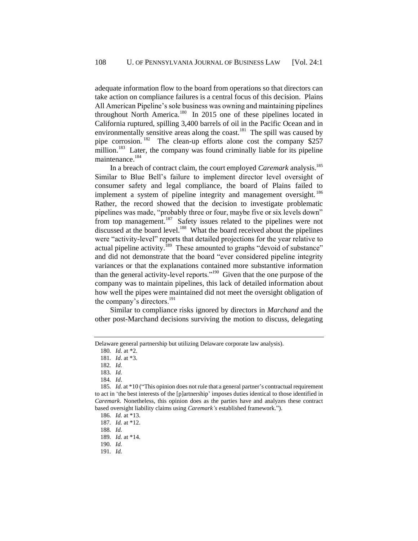adequate information flow to the board from operations so that directors can take action on compliance failures is a central focus of this decision. Plains All American Pipeline's sole business was owning and maintaining pipelines throughout North America.<sup>180</sup> In 2015 one of these pipelines located in California ruptured, spilling 3,400 barrels of oil in the Pacific Ocean and in environmentally sensitive areas along the coast. $^{181}$  The spill was caused by pipe corrosion.  $182$  The clean-up efforts alone cost the company \$257 million.<sup>183</sup> Later, the company was found criminally liable for its pipeline maintenance.<sup>184</sup>

In a breach of contract claim, the court employed *Caremark* analysis.<sup>185</sup> Similar to Blue Bell's failure to implement director level oversight of consumer safety and legal compliance, the board of Plains failed to implement a system of pipeline integrity and management oversight.<sup>186</sup> Rather, the record showed that the decision to investigate problematic pipelines was made, "probably three or four, maybe five or six levels down" from top management.<sup>187</sup> Safety issues related to the pipelines were not discussed at the board level.<sup>188</sup> What the board received about the pipelines were "activity-level" reports that detailed projections for the year relative to actual pipeline activity.<sup>189</sup> These amounted to graphs "devoid of substance" and did not demonstrate that the board "ever considered pipeline integrity variances or that the explanations contained more substantive information than the general activity-level reports."<sup>190</sup> Given that the one purpose of the company was to maintain pipelines, this lack of detailed information about how well the pipes were maintained did not meet the oversight obligation of the company's directors. $191$ 

Similar to compliance risks ignored by directors in *Marchand* and the other post-Marchand decisions surviving the motion to discuss, delegating

Delaware general partnership but utilizing Delaware corporate law analysis).

<sup>180</sup>*. Id.* at \*2.

<sup>181</sup>*. Id*. at \*3.

<sup>182</sup>*. Id.*

<sup>183</sup>*. Id.*

<sup>184</sup>*. Id*.

<sup>185</sup>*. Id*. at \*10 ("This opinion does not rule that a general partner's contractual requirement to act in 'the best interests of the [p]artnership' imposes duties identical to those identified in *Caremark*. Nonetheless, this opinion does as the parties have and analyzes these contract based oversight liability claims using *Caremark's* established framework.").

<sup>186</sup>*. Id.* at \*13.

<sup>187</sup>*. Id.* at \*12.

<sup>188</sup>*. Id.* 189*. Id.* at \*14.

<sup>190</sup>*. Id.*

<sup>191</sup>*. Id.*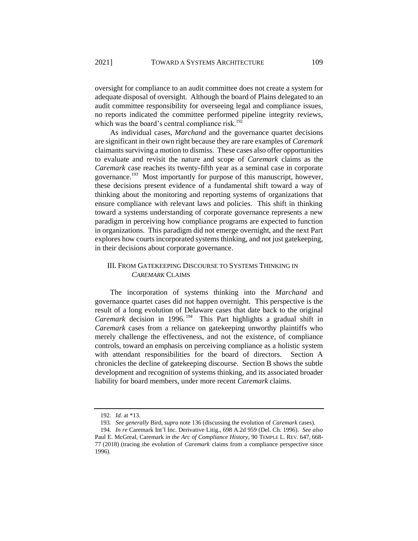oversight for compliance to an audit committee does not create a system for adequate disposal of oversight. Although the board of Plains delegated to an audit committee responsibility for overseeing legal and compliance issues, no reports indicated the committee performed pipeline integrity reviews, which was the board's central compliance risk.<sup>192</sup>

As individual cases, *Marchand* and the governance quartet decisions are significant in their own right because they are rare examples of *Caremark* claimants surviving a motion to dismiss. These cases also offer opportunities to evaluate and revisit the nature and scope of *Caremark* claims as the *Caremark* case reaches its twenty-fifth year as a seminal case in corporate governance.<sup>193</sup> Most importantly for purpose of this manuscript, however, these decisions present evidence of a fundamental shift toward a way of thinking about the monitoring and reporting systems of organizations that ensure compliance with relevant laws and policies. This shift in thinking toward a systems understanding of corporate governance represents a new paradigm in perceiving how compliance programs are expected to function in organizations. This paradigm did not emerge overnight, and the next Part explores how courts incorporated systems thinking, and not just gatekeeping, in their decisions about corporate governance.

# III. FROM GATEKEEPING DISCOURSE TO SYSTEMS THINKING IN *CAREMARK* CLAIMS

The incorporation of systems thinking into the *Marchand* and governance quartet cases did not happen overnight. This perspective is the result of a long evolution of Delaware cases that date back to the original Caremark decision in 1996.<sup>194</sup> This Part highlights a gradual shift in *Caremark* cases from a reliance on gatekeeping unworthy plaintiffs who merely challenge the effectiveness, and not the existence, of compliance controls, toward an emphasis on perceiving compliance as a holistic system with attendant responsibilities for the board of directors. Section A chronicles the decline of gatekeeping discourse. Section B shows the subtle development and recognition of systems thinking, and its associated broader liability for board members, under more recent *Caremark* claims.

<sup>192</sup>*. Id.* at \*13.

<sup>193</sup>*. See generally* Bird, *supra* not[e 136](#page-19-0) (discussing the evolution of *Caremark* cases).

<sup>194</sup>*. In re* Caremark Int'l Inc. Derivative Litig., 698 A.2d 959 (Del. Ch. 1996). *See also* Paul E. McGreal, Caremark *in the Arc of Compliance History*, 90 TEMPLE L. REV. 647, 668- 77 (2018) (tracing the evolution of *Caremark* claims from a compliance perspective since 1996).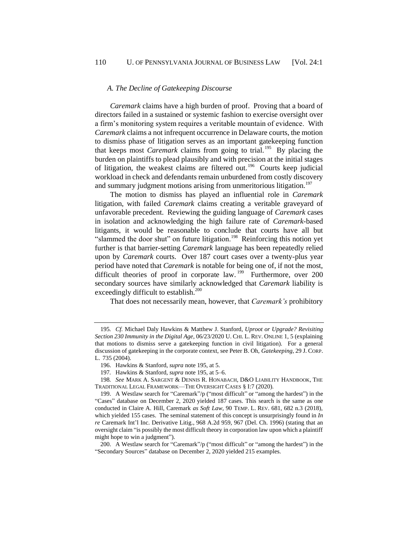#### <span id="page-26-2"></span>*A. The Decline of Gatekeeping Discourse*

*Caremark* claims have a high burden of proof. Proving that a board of directors failed in a sustained or systemic fashion to exercise oversight over a firm's monitoring system requires a veritable mountain of evidence. With *Caremark* claims a not infrequent occurrence in Delaware courts, the motion to dismiss phase of litigation serves as an important gatekeeping function that keeps most *Caremark* claims from going to trial.<sup>195</sup> By placing the burden on plaintiffs to plead plausibly and with precision at the initial stages of litigation, the weakest claims are filtered out.<sup>196</sup> Courts keep judicial workload in check and defendants remain unburdened from costly discovery and summary judgment motions arising from unmeritorious litigation.<sup>197</sup>

The motion to dismiss has played an influential role in *Caremark*  litigation, with failed *Caremark* claims creating a veritable graveyard of unfavorable precedent. Reviewing the guiding language of *Caremark* cases in isolation and acknowledging the high failure rate of *Caremark*-based litigants, it would be reasonable to conclude that courts have all but "slammed the door shut" on future litigation.<sup>198</sup> Reinforcing this notion yet further is that barrier-setting *Caremark* language has been repeatedly relied upon by *Caremark* courts. Over 187 court cases over a twenty-plus year period have noted that *Caremark* is notable for being one of, if not the most, difficult theories of proof in corporate law. <sup>199</sup> Furthermore, over 200 secondary sources have similarly acknowledged that *Caremark* liability is exceedingly difficult to establish.<sup>200</sup>

<span id="page-26-1"></span><span id="page-26-0"></span>That does not necessarily mean, however, that *Caremark's* prohibitory

<sup>195</sup>*. Cf.* Michael Daly Hawkins & Matthew J. Stanford, *Uproot or Upgrade? Revisiting Section 230 Immunity in the Digital Age*, 06/23/2020 U. CHI. L. REV. ONLINE 1, 5 (explaining that motions to dismiss serve a gatekeeping function in civil litigation). For a general discussion of gatekeeping in the corporate context, see Peter B. Oh, *Gatekeeping*, 29 J. CORP. L. 735 (2004).

<sup>196.</sup> Hawkins & Stanford, *supra* not[e 195,](#page-26-2) at 5.

<sup>197</sup>*.* Hawkins & Stanford, *supra* not[e 195,](#page-26-2) at 5–6.

<sup>198</sup>*. See* MARK A. SARGENT & DENNIS R. HONABACH, D&O LIABILITY HANDBOOK, THE TRADITIONAL LEGAL FRAMEWORK—THE OVERSIGHT CASES § I:7 (2020).

<sup>199.</sup> A Westlaw search for "Caremark"/p ("most difficult" or "among the hardest") in the "Cases" database on December 2, 2020 yielded 187 cases. This search is the same as one conducted in Claire A. Hill, Caremark *as Soft Law*, 90 TEMP. L. REV. 681, 682 n.3 (2018), which yielded 155 cases. The seminal statement of this concept is unsurprisingly found in *In re* Caremark Int'l Inc. Derivative Litig., 968 A.2d 959, 967 (Del. Ch. 1996) (stating that an oversight claim "is possibly the most difficult theory in corporation law upon which a plaintiff might hope to win a judgment").

<sup>200.</sup> A Westlaw search for "Caremark"/p ("most difficult" or "among the hardest") in the "Secondary Sources" database on December 2, 2020 yielded 215 examples.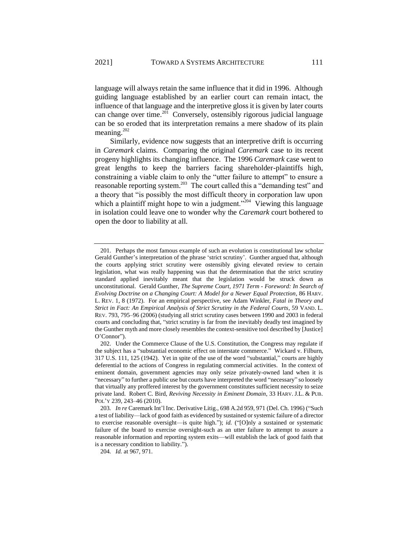language will always retain the same influence that it did in 1996. Although guiding language established by an earlier court can remain intact, the influence of that language and the interpretive gloss it is given by later courts can change over time.<sup>201</sup> Conversely, ostensibly rigorous judicial language can be so eroded that its interpretation remains a mere shadow of its plain meaning. $202$ 

Similarly, evidence now suggests that an interpretive drift is occurring in *Caremark* claims. Comparing the original *Caremark* case to its recent progeny highlights its changing influence. The 1996 *Caremark* case went to great lengths to keep the barriers facing shareholder-plaintiffs high, constraining a viable claim to only the "utter failure to attempt" to ensure a reasonable reporting system.<sup>203</sup> The court called this a "demanding test" and a theory that "is possibly the most difficult theory in corporation law upon which a plaintiff might hope to win a judgment."<sup>204</sup> Viewing this language in isolation could leave one to wonder why the *Caremark* court bothered to open the door to liability at all.

<sup>201.</sup> Perhaps the most famous example of such an evolution is constitutional law scholar Gerald Gunther's interpretation of the phrase 'strict scrutiny'. Gunther argued that, although the courts applying strict scrutiny were ostensibly giving elevated review to certain legislation, what was really happening was that the determination that the strict scrutiny standard applied inevitably meant that the legislation would be struck down as unconstitutional. Gerald Gunther, *The Supreme Court, 1971 Term - Foreword: In Search of Evolving Doctrine on a Changing Court: A Model for a Newer Equal Protection*, 86 HARV. L. REV. 1, 8 (1972). For an empirical perspective, see Adam Winkler, *Fatal in Theory and Strict in Fact: An Empirical Analysis of Strict Scrutiny in the Federal Courts*, 59 VAND. L. REV. 793, 795–96 (2006) (studying all strict scrutiny cases between 1990 and 2003 in federal courts and concluding that, "strict scrutiny is far from the inevitably deadly test imagined by the Gunther myth and more closely resembles the context-sensitive tool described by [Justice] O'Connor").

<sup>202.</sup> Under the Commerce Clause of the U.S. Constitution, the Congress may regulate if the subject has a "substantial economic effect on interstate commerce." Wickard v. Filburn, 317 U.S. 111, 125 (1942). Yet in spite of the use of the word "substantial," courts are highly deferential to the actions of Congress in regulating commercial activities. In the context of eminent domain, government agencies may only seize privately-owned land when it is "necessary" to further a public use but courts have interpreted the word "necessary" so loosely that virtually any proffered interest by the government constitutes sufficient necessity to seize private land. Robert C. Bird, *Reviving Necessity in Eminent Domain*, 33 HARV. J.L. & PUB. POL'Y 239, 243–46 (2010).

<sup>203</sup>*. In re* Caremark Int'l Inc. Derivative Litig., 698 A.2d 959, 971 (Del. Ch. 1996) ("Such a test of liability—lack of good faith as evidenced by sustained or systemic failure of a director to exercise reasonable oversight—is quite high."); *id.* ("[O]nly a sustained or systematic failure of the board to exercise oversight-such as an utter failure to attempt to assure a reasonable information and reporting system exits—will establish the lack of good faith that is a necessary condition to liability.").

<sup>204</sup>*. Id.* at 967, 971.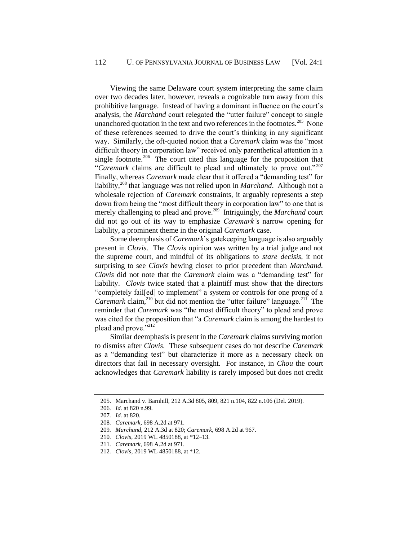Viewing the same Delaware court system interpreting the same claim over two decades later, however, reveals a cognizable turn away from this prohibitive language. Instead of having a dominant influence on the court's analysis, the *Marchand* court relegated the "utter failure" concept to single unanchored quotation in the text and two references in the footnotes.<sup>205</sup> None of these references seemed to drive the court's thinking in any significant way. Similarly, the oft-quoted notion that a *Caremark* claim was the "most difficult theory in corporation law" received only parenthetical attention in a single footnote.<sup>206</sup> The court cited this language for the proposition that "*Caremark* claims are difficult to plead and ultimately to prove out."<sup>207</sup> Finally, whereas *Caremark* made clear that it offered a "demanding test" for liability,<sup>208</sup> that language was not relied upon in *Marchand*. Although not a wholesale rejection of *Caremark* constraints, it arguably represents a step down from being the "most difficult theory in corporation law" to one that is merely challenging to plead and prove.<sup>209</sup> Intriguingly, the *Marchand* court did not go out of its way to emphasize *Caremark'*s narrow opening for liability, a prominent theme in the original *Caremark* case.

Some deemphasis of *Caremark*'s gatekeeping language is also arguably present in *Clovis*. The *Clovis* opinion was written by a trial judge and not the supreme court, and mindful of its obligations to *stare decisis*, it not surprising to see *Clovis* hewing closer to prior precedent than *Marchand. Clovis* did not note that the *Caremark* claim was a "demanding test" for liability. *Clovis* twice stated that a plaintiff must show that the directors "completely fail[ed] to implement" a system or controls for one prong of a *Caremark* claim,<sup>210</sup> but did not mention the "utter failure" language.<sup>211</sup> The reminder that *Caremark* was "the most difficult theory" to plead and prove was cited for the proposition that "a *Caremark* claim is among the hardest to plead and prove."<sup>212</sup>

Similar deemphasis is present in the *Caremark* claims surviving motion to dismiss after *Clovis*. These subsequent cases do not describe *Caremark* as a "demanding test" but characterize it more as a necessary check on directors that fail in necessary oversight. For instance, in *Chou* the court acknowledges that *Caremark* liability is rarely imposed but does not credit

<sup>205.</sup> Marchand v. Barnhill, 212 A.3d 805, 809, 821 n.104, 822 n.106 (Del. 2019).

<sup>206</sup>*. Id.* at 820 n.99.

<sup>207</sup>*. Id.* at 820.

<sup>208</sup>*. Caremark*, 698 A.2d at 971.

<sup>209</sup>*. Marchand*, 212 A.3d at 820; *Caremark*, 698 A.2d at 967.

<sup>210</sup>*. Clovis*, 2019 WL 4850188, at \*12–13.

<sup>211</sup>*. Caremark*, 698 A.2d at 971.

<sup>212</sup>*. Clovis*, 2019 WL 4850188, at \*12.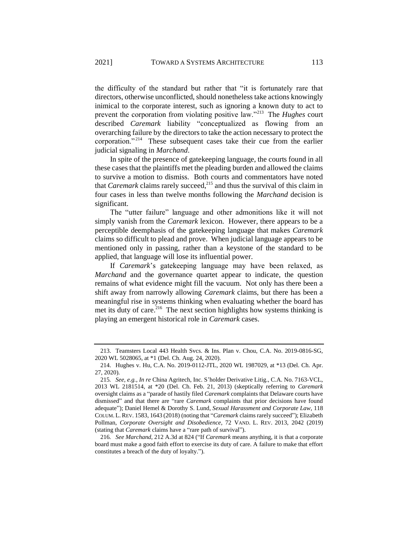the difficulty of the standard but rather that "it is fortunately rare that directors, otherwise unconflicted, should nonetheless take actions knowingly inimical to the corporate interest, such as ignoring a known duty to act to prevent the corporation from violating positive law."<sup>213</sup> The *Hughes* court described *Caremark* liability "conceptualized as flowing from an overarching failure by the directors to take the action necessary to protect the corporation."<sup>214</sup> These subsequent cases take their cue from the earlier judicial signaling in *Marchand*.

In spite of the presence of gatekeeping language, the courts found in all these cases that the plaintiffs met the pleading burden and allowed the claims to survive a motion to dismiss. Both courts and commentators have noted that *Caremark* claims rarely succeed,<sup>215</sup> and thus the survival of this claim in four cases in less than twelve months following the *Marchand* decision is significant.

The "utter failure" language and other admonitions like it will not simply vanish from the *Caremark* lexicon. However, there appears to be a perceptible deemphasis of the gatekeeping language that makes *Caremark*  claims so difficult to plead and prove. When judicial language appears to be mentioned only in passing, rather than a keystone of the standard to be applied, that language will lose its influential power.

If *Caremark*'s gatekeeping language may have been relaxed, as *Marchand* and the governance quartet appear to indicate, the question remains of what evidence might fill the vacuum. Not only has there been a shift away from narrowly allowing *Caremark* claims, but there has been a meaningful rise in systems thinking when evaluating whether the board has met its duty of care. $216$  The next section highlights how systems thinking is playing an emergent historical role in *Caremark* cases.

<sup>213.</sup> Teamsters Local 443 Health Svcs. & Ins. Plan v. Chou, C.A. No. 2019-0816-SG, 2020 WL 5028065, at \*1 (Del. Ch. Aug. 24, 2020).

<sup>214.</sup> Hughes v. Hu, C.A. No. 2019-0112-JTL, 2020 WL 1987029, at \*13 (Del. Ch. Apr. 27, 2020).

<sup>215</sup>*. See, e.g.*, *In re* China Agritech, Inc. S'holder Derivative Litig., C.A. No. 7163-VCL, 2013 WL 2181514, at \*20 (Del. Ch. Feb. 21, 2013) (skeptically referring to *Caremark*  oversight claims as a "parade of hastily filed *Caremark* complaints that Delaware courts have dismissed" and that there are "rare *Caremark* complaints that prior decisions have found adequate"); Daniel Hemel & Dorothy S. Lund, *Sexual Harassment and Corporate Law*, 118 COLUM. L.REV. 1583, 1643 (2018) (noting that "*Caremark* claims rarely succeed"); Elizabeth Pollman, *Corporate Oversight and Disobedience*, 72 VAND. L. REV. 2013, 2042 (2019) (stating that *Caremark* claims have a "rare path of survival").

<sup>216</sup>*. See Marchand*, 212 A.3d at 824 ("If *Caremark* means anything, it is that a corporate board must make a good faith effort to exercise its duty of care. A failure to make that effort constitutes a breach of the duty of loyalty.").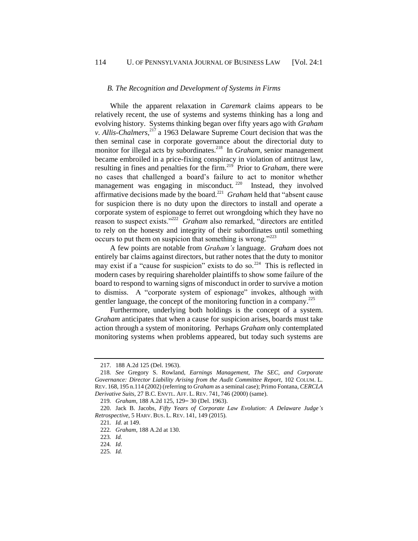#### *B. The Recognition and Development of Systems in Firms*

While the apparent relaxation in *Caremark* claims appears to be relatively recent, the use of systems and systems thinking has a long and evolving history. Systems thinking began over fifty years ago with *Graham v. Allis-Chalmers*, <sup>217</sup> a 1963 Delaware Supreme Court decision that was the then seminal case in corporate governance about the directorial duty to monitor for illegal acts by subordinates.<sup>218</sup> In *Graham*, senior management became embroiled in a price-fixing conspiracy in violation of antitrust law, resulting in fines and penalties for the firm.<sup>219</sup> Prior to *Graham*, there were no cases that challenged a board's failure to act to monitor whether management was engaging in misconduct.<sup>220</sup> Instead, they involved affirmative decisions made by the board.<sup>221</sup> Graham held that "absent cause" for suspicion there is no duty upon the directors to install and operate a corporate system of espionage to ferret out wrongdoing which they have no reason to suspect exists."<sup>222</sup> Graham also remarked, "directors are entitled to rely on the honesty and integrity of their subordinates until something occurs to put them on suspicion that something is wrong." $2^{223}$ 

A few points are notable from *Graham's* language. *Graham* does not entirely bar claims against directors, but rather notes that the duty to monitor may exist if a "cause for suspicion" exists to do so.<sup>224</sup> This is reflected in modern cases by requiring shareholder plaintiffs to show some failure of the board to respond to warning signs of misconduct in order to survive a motion to dismiss. A "corporate system of espionage" invokes, although with gentler language, the concept of the monitoring function in a company.<sup>225</sup>

Furthermore, underlying both holdings is the concept of a system. *Graham* anticipates that when a cause for suspicion arises, boards must take action through a system of monitoring. Perhaps *Graham* only contemplated monitoring systems when problems appeared, but today such systems are

<sup>217.</sup> 188 A.2d 125 (Del. 1963).

<sup>218</sup>*. See* Gregory S. Rowland, *Earnings Management, The SEC, and Corporate Governance: Director Liability Arising from the Audit Committee Report*, 102 COLUM. L. REV. 168, 195 n.114 (2002) (referring to *Graham* as a seminal case); Primo Fontana, *CERCLA Derivative Suits*, 27 B.C. ENVTL. AFF. L. REV. 741, 746 (2000) (same).

<sup>219</sup>*. Graham*, 188 A.2d 125, 129– 30 (Del. 1963).

<sup>220.</sup> Jack B. Jacobs, *Fifty Years of Corporate Law Evolution: A Delaware Judge's Retrospective*, 5 HARV. BUS. L. REV. 141, 149 (2015).

<sup>221</sup>*. Id.* at 149.

<sup>222</sup>*. Graham*, 188 A.2d at 130.

<sup>223</sup>*. Id.*

<sup>224</sup>*. Id*.

<sup>225</sup>*. Id.*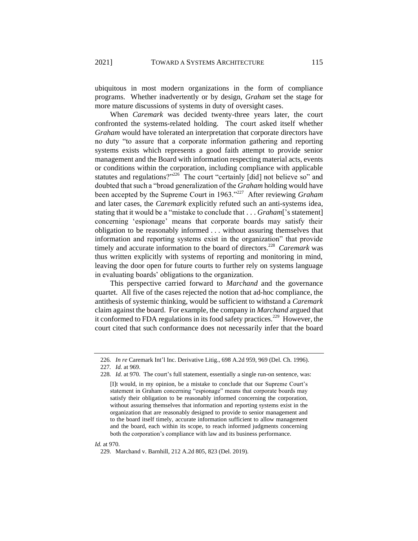ubiquitous in most modern organizations in the form of compliance programs. Whether inadvertently or by design, *Graham* set the stage for more mature discussions of systems in duty of oversight cases.

When *Caremark* was decided twenty-three years later, the court confronted the systems-related holding. The court asked itself whether *Graham* would have tolerated an interpretation that corporate directors have no duty "to assure that a corporate information gathering and reporting systems exists which represents a good faith attempt to provide senior management and the Board with information respecting material acts, events or conditions within the corporation, including compliance with applicable statutes and regulations?"<sup>226</sup> The court "certainly [did] not believe so" and doubted that such a "broad generalization of the *Graham* holding would have been accepted by the Supreme Court in 1963."<sup>227</sup> After reviewing *Graham* and later cases, the *Caremark* explicitly refuted such an anti-systems idea, stating that it would be a "mistake to conclude that . . . *Graham*['s statement] concerning 'espionage' means that corporate boards may satisfy their obligation to be reasonably informed . . . without assuring themselves that information and reporting systems exist in the organization" that provide timely and accurate information to the board of directors.<sup>228</sup> Caremark was thus written explicitly with systems of reporting and monitoring in mind, leaving the door open for future courts to further rely on systems language in evaluating boards' obligations to the organization.

This perspective carried forward to *Marchand* and the governance quartet. All five of the cases rejected the notion that ad-hoc compliance, the antithesis of systemic thinking, would be sufficient to withstand a *Caremark*  claim against the board. For example, the company in *Marchand* argued that it conformed to FDA regulations in its food safety practices.<sup>229</sup> However, the court cited that such conformance does not necessarily infer that the board

*Id.* at 970.

<sup>226</sup>*. In re* Caremark Int'l Inc. Derivative Litig., 698 A.2d 959, 969 (Del. Ch. 1996).

<sup>227</sup>*. Id.* at 969.

<sup>228</sup>*. Id.* at 970. The court's full statement, essentially a single run-on sentence, was:

<sup>[</sup>I]t would, in my opinion, be a mistake to conclude that our Supreme Court's statement in Graham concerning "espionage" means that corporate boards may satisfy their obligation to be reasonably informed concerning the corporation, without assuring themselves that information and reporting systems exist in the organization that are reasonably designed to provide to senior management and to the board itself timely, accurate information sufficient to allow management and the board, each within its scope, to reach informed judgments concerning both the corporation's compliance with law and its business performance.

<sup>229.</sup> Marchand v. Barnhill, 212 A.2d 805, 823 (Del. 2019).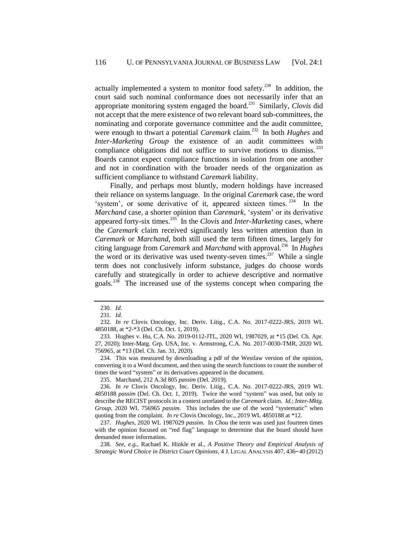actually implemented a system to monitor food safety.<sup>230</sup> In addition, the court said such nominal conformance does not necessarily infer that an appropriate monitoring system engaged the board.<sup>231</sup> Similarly, *Clovis* did not accept that the mere existence of two relevant board sub-committees, the nominating and corporate governance committee and the audit committee, were enough to thwart a potential *Caremark* claim.<sup>232</sup> In both *Hughes* and *Inter-Marketing Group* the existence of an audit committees with compliance obligations did not suffice to survive motions to dismiss.<sup>233</sup> Boards cannot expect compliance functions in isolation from one another and not in coordination with the broader needs of the organization as sufficient compliance to withstand *Caremark* liability.

Finally, and perhaps most bluntly, modern holdings have increased their reliance on systems language. In the original *Caremark* case, the word 'system', or some derivative of it, appeared sixteen times.<sup>234</sup> In the *Marchand* case, a shorter opinion than *Caremark,* 'system' or its derivative appeared forty-six times.<sup>235</sup> In the *Clovis* and *Inter-Marketing* cases, where the *Caremark* claim received significantly less written attention than in *Caremark* or *Marchand*, both still used the term fifteen times, largely for citing language from *Caremark* and *Marchand* with approval*.* 236 In *Hughes* the word or its derivative was used twenty-seven times.<sup>237</sup> While a single term does not conclusively inform substance, judges do choose words carefully and strategically in order to achieve descriptive and normative goals.<sup>238</sup> The increased use of the systems concept when comparing the

234. This was measured by downloading a pdf of the Westlaw version of the opinion, converting it to a Word document, and then using the search functions to count the number of times the word "system" or its derivatives appeared in the document.

235. Marchand, 212 A.3d 805 *passim* (Del. 2019).

237*. Hughes*, 2020 WL 1987029 *passim*. In *Chou* the term was used just fourteen times with the opinion focused on "red flag" language to determine that the board should have demanded more information.

238*. See, e.g.*, Rachael K. Hinkle et al., *A Positive Theory and Empirical Analysis of Strategic Word Choice in District Court Opinions*, 4 J. LEGAL ANALYSIS 407, 436–40 (2012)

<sup>230</sup>*. Id.*

<sup>231</sup>*. Id.*

<sup>232</sup>*. In re* Clovis Oncology, Inc. Deriv. Litig., C.A. No. 2017-0222-JRS, 2019 WL 4850188, at \*2-\*3 (Del. Ch. Oct. 1, 2019).

<sup>233.</sup> Hughes v. Hu, C.A. No. 2019-0112-JTL, 2020 WL 1987029, at \*15 (Del. Ch. Apr. 27, 2020); Inter-Matg. Grp. USA, Inc. v. Armstrong, C.A. No. 2017-0030-TMR, 2020 WL 756965, at \*13 (Del. Ch. Jan. 31, 2020).

<sup>236</sup>*. In re* Clovis Oncology, Inc. Deriv. Litig., C.A. No. 2017-0222-JRS, 2019 WL 4850188 *passim* (Del. Ch. Oct. 1, 2019). Twice the word "system" was used, but only to describe the RECIST protocols in a context unrelated to the *Caremark* claim. *Id.*; *Inter-Mktg. Group*, 2020 WL 756965 *passim*. This includes the use of the word "systematic" when quoting from the complaint. *In re* Clovis Oncology, Inc., 2019 WL 4850188 at \*12.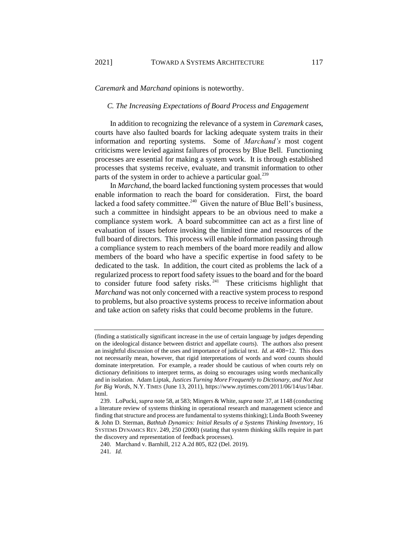#### *C. The Increasing Expectations of Board Process and Engagement*

In addition to recognizing the relevance of a system in *Caremark* cases, courts have also faulted boards for lacking adequate system traits in their information and reporting systems. Some of *Marchand's* most cogent criticisms were levied against failures of process by Blue Bell. Functioning processes are essential for making a system work. It is through established processes that systems receive, evaluate, and transmit information to other parts of the system in order to achieve a particular goal.<sup>239</sup>

In *Marchand*, the board lacked functioning system processes that would enable information to reach the board for consideration. First, the board lacked a food safety committee. $240$  Given the nature of Blue Bell's business, such a committee in hindsight appears to be an obvious need to make a compliance system work. A board subcommittee can act as a first line of evaluation of issues before invoking the limited time and resources of the full board of directors. This process will enable information passing through a compliance system to reach members of the board more readily and allow members of the board who have a specific expertise in food safety to be dedicated to the task. In addition, the court cited as problems the lack of a regularized process to report food safety issues to the board and for the board to consider future food safety risks. $241$  These criticisms highlight that *Marchand* was not only concerned with a reactive system process to respond to problems, but also proactive systems process to receive information about and take action on safety risks that could become problems in the future.

<sup>(</sup>finding a statistically significant increase in the use of certain language by judges depending on the ideological distance between district and appellate courts). The authors also present an insightful discussion of the uses and importance of judicial text. *Id.* at 408–12. This does not necessarily mean, however, that rigid interpretations of words and word counts should dominate interpretation. For example, a reader should be cautious of when courts rely on dictionary definitions to interpret terms, as doing so encourages using words mechanically and in isolation. Adam Liptak, *Justices Turning More Frequently to Dictionary, and Not Just for Big Words*, N.Y. TIMES (June 13, 2011), https://www.nytimes.com/2011/06/14/us/14bar. html.

<sup>239.</sup> LoPucki, *supra* not[e 58,](#page-11-1) at 583; Mingers & White, *supra* note [37,](#page-7-1) at 1148 (conducting a literature review of systems thinking in operational research and management science and finding that structure and process are fundamental to systems thinking); Linda Booth Sweeney & John D. Sterman, *Bathtub Dynamics: Initial Results of a Systems Thinking Inventory*, 16 SYSTEMS DYNAMICS REV. 249, 250 (2000) (stating that system thinking skills require in part the discovery and representation of feedback processes).

<sup>240.</sup> Marchand v. Barnhill, 212 A.2d 805, 822 (Del. 2019).

<sup>241</sup>*. Id.*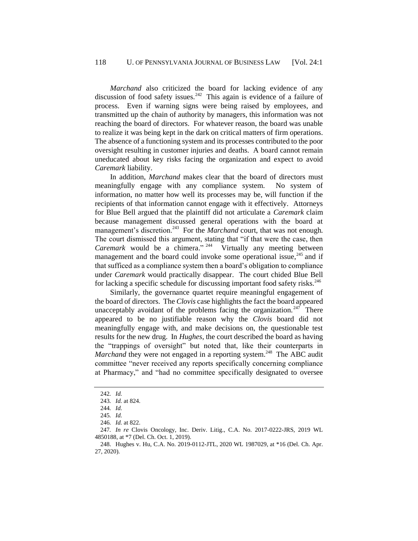*Marchand* also criticized the board for lacking evidence of any discussion of food safety issues.<sup>242</sup> This again is evidence of a failure of process. Even if warning signs were being raised by employees, and transmitted up the chain of authority by managers, this information was not reaching the board of directors. For whatever reason, the board was unable to realize it was being kept in the dark on critical matters of firm operations. The absence of a functioning system and its processes contributed to the poor oversight resulting in customer injuries and deaths. A board cannot remain uneducated about key risks facing the organization and expect to avoid *Caremark* liability.

In addition, *Marchand* makes clear that the board of directors must meaningfully engage with any compliance system. No system of information, no matter how well its processes may be, will function if the recipients of that information cannot engage with it effectively. Attorneys for Blue Bell argued that the plaintiff did not articulate a *Caremark* claim because management discussed general operations with the board at management's discretion.<sup>243</sup> For the *Marchand* court, that was not enough. The court dismissed this argument, stating that "if that were the case, then Caremark would be a chimera."<sup>244</sup> Virtually any meeting between management and the board could invoke some operational issue,<sup>245</sup> and if that sufficed as a compliance system then a board's obligation to compliance under *Caremark* would practically disappear. The court chided Blue Bell for lacking a specific schedule for discussing important food safety risks.<sup>246</sup>

Similarly, the governance quartet require meaningful engagement of the board of directors. The *Clovis* case highlights the fact the board appeared unacceptably avoidant of the problems facing the organization.<sup>247</sup> There appeared to be no justifiable reason why the *Clovis* board did not meaningfully engage with, and make decisions on, the questionable test results for the new drug. In *Hughes*, the court described the board as having the "trappings of oversight" but noted that, like their counterparts in *Marchand* they were not engaged in a reporting system.<sup>248</sup> The ABC audit committee "never received any reports specifically concerning compliance at Pharmacy," and "had no committee specifically designated to oversee

<sup>242</sup>*. Id.*

<sup>243</sup>*. Id.* at 824.

<sup>244</sup>*. Id.*

<sup>245</sup>*. Id.*

<sup>246</sup>*. Id.* at 822.

<sup>247</sup>*. In re* Clovis Oncology, Inc. Deriv. Litig., C.A. No. 2017-0222-JRS, 2019 WL 4850188, at \*7 (Del. Ch. Oct. 1, 2019).

<sup>248.</sup> Hughes v. Hu, C.A. No. 2019-0112-JTL, 2020 WL 1987029, at \*16 (Del. Ch. Apr. 27, 2020).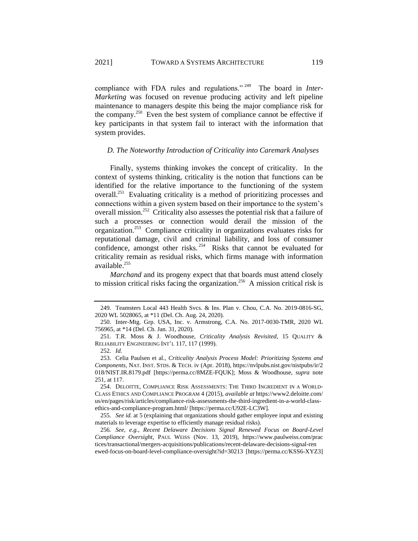compliance with FDA rules and regulations."<sup>249</sup> The board in *Inter-Marketing* was focused on revenue producing activity and left pipeline maintenance to managers despite this being the major compliance risk for the company.<sup>250</sup> Even the best system of compliance cannot be effective if key participants in that system fail to interact with the information that system provides.

# <span id="page-35-0"></span>*D. The Noteworthy Introduction of Criticality into Caremark Analyses*

<span id="page-35-1"></span>Finally, systems thinking invokes the concept of criticality. In the context of systems thinking, criticality is the notion that functions can be identified for the relative importance to the functioning of the system overall.<sup>251</sup> Evaluating criticality is a method of prioritizing processes and connections within a given system based on their importance to the system's overall mission.<sup>252</sup> Criticality also assesses the potential risk that a failure of such a processes or connection would derail the mission of the organization.<sup>253</sup> Compliance criticality in organizations evaluates risks for reputational damage, civil and criminal liability, and loss of consumer confidence, amongst other risks.<sup>254</sup> Risks that cannot be evaluated for criticality remain as residual risks, which firms manage with information available.<sup>255</sup>

*Marchand* and its progeny expect that that boards must attend closely to mission critical risks facing the organization.<sup>256</sup> A mission critical risk is

<sup>249.</sup> Teamsters Local 443 Health Svcs. & Ins. Plan v. Chou, C.A. No. 2019-0816-SG, 2020 WL 5028065, at \*11 (Del. Ch. Aug. 24, 2020).

<sup>250.</sup> Inter-Mtg. Grp. USA, Inc. v. Armstrong, C.A. No. 2017-0030-TMR, 2020 WL 756965, at \*14 (Del. Ch. Jan. 31, 2020).

<sup>251.</sup> T.R. Moss & J. Woodhouse, *Criticality Analysis Revisited*, 15 QUALITY & RELIABILITY ENGINEERING INT'L 117, 117 (1999).

<sup>252</sup>*. Id.*

<sup>253.</sup> Celia Paulsen et al., *Criticality Analysis Process Model: Prioritizing Systems and Components*, NAT. INST. STDS. & TECH. iv (Apr. 2018), https://nvlpubs.nist.gov/nistpubs/ir/2 018/NIST.IR.8179.pdf [https://perma.cc/8MZE-FQUK]; Moss & Woodhouse, *supra* note [251,](#page-35-1) at 117.

<sup>254.</sup> DELOITTE, COMPLIANCE RISK ASSESSMENTS: THE THIRD INGREDIENT IN A WORLD-CLASS ETHICS AND COMPLIANCE PROGRAM 4 (2015), *available at* https://www2.deloitte.com/ us/en/pages/risk/articles/compliance-risk-assessments-the-third-ingredient-in-a-world-classethics-and-compliance-program.html/ [https://perma.cc/U92E-LC3W].

<sup>255</sup>*. See id.* at 5 (explaining that organizations should gather employee input and existing materials to leverage expertise to efficiently manage residual risks).

<sup>256</sup>*. See, e.g.*, *Recent Delaware Decisions Signal Renewed Focus on Board-Level Compliance Oversight*, PAUL WEISS (Nov. 13, 2019), https://www.paulweiss.com/prac tices/transactional/mergers-acquisitions/publications/recent-delaware-decisions-signal-ren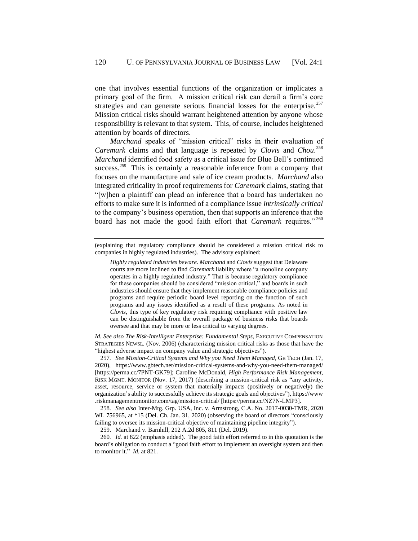one that involves essential functions of the organization or implicates a primary goal of the firm. A mission critical risk can derail a firm's core strategies and can generate serious financial losses for the enterprise.  $257$ Mission critical risks should warrant heightened attention by anyone whose responsibility is relevant to that system. This, of course, includes heightened attention by boards of directors.

*Marchand* speaks of "mission critical" risks in their evaluation of *Caremark* claims and that language is repeated by *Clovis* and *Chou*. 258 *Marchand* identified food safety as a critical issue for Blue Bell's continued success.<sup>259</sup> This is certainly a reasonable inference from a company that focuses on the manufacture and sale of ice cream products. *Marchand* also integrated criticality in proof requirements for *Caremark* claims, stating that "[w]hen a plaintiff can plead an inference that a board has undertaken no efforts to make sure it is informed of a compliance issue *intrinsically critical* to the company's business operation, then that supports an inference that the board has not made the good faith effort that *Caremark* requires."<sup>260</sup>

(explaining that regulatory compliance should be considered a mission critical risk to companies in highly regulated industries). The advisory explained:

*Id. See also The Risk-Intelligent Enterprise: Fundamental Steps*, EXECUTIVE COMPENSATION STRATEGIES NEWSL. (Nov. 2006) (characterizing mission critical risks as those that have the "highest adverse impact on company value and strategic objectives").

257*. See Mission-Critical Systems and Why you Need Them Managed*, GB TECH (Jan. 17, 2020), https://www.gbtech.net/mission-critical-systems-and-why-you-need-them-managed/ [https://perma.cc/7PNT-GK79]; Caroline McDonald, *High Performance Risk Management*, RISK MGMT. MONITOR (Nov. 17, 2017) (describing a mission-critical risk as "any activity, asset, resource, service or system that materially impacts (positively or negatively) the organization's ability to successfully achieve its strategic goals and objectives"), https://www .riskmanagementmonitor.com/tag/mission-critical/ [https://perma.cc/NZ7N-LMP3].

258*. See also* Inter-Mtg. Grp. USA, Inc. v. Armstrong, C.A. No. 2017-0030-TMR, 2020 WL 756965, at \*15 (Del. Ch. Jan. 31, 2020) (observing the board of directors "consciously failing to oversee its mission-critical objective of maintaining pipeline integrity").

259. Marchand v. Barnhill, 212 A.2d 805, 811 (Del. 2019).

*Highly regulated industries beware*. *Marchand* and *Clovis* suggest that Delaware courts are more inclined to find *Caremark* liability where "a monoline company operates in a highly regulated industry." That is because regulatory compliance for these companies should be considered "mission critical," and boards in such industries should ensure that they implement reasonable compliance policies and programs and require periodic board level reporting on the function of such programs and any issues identified as a result of these programs. As noted in *Clovis*, this type of key regulatory risk requiring compliance with positive law can be distinguishable from the overall package of business risks that boards oversee and that may be more or less critical to varying degrees.

<sup>260</sup>*. Id.* at 822 (emphasis added). The good faith effort referred to in this quotation is the board's obligation to conduct a "good faith effort to implement an oversight system and then to monitor it." *Id.* at 821.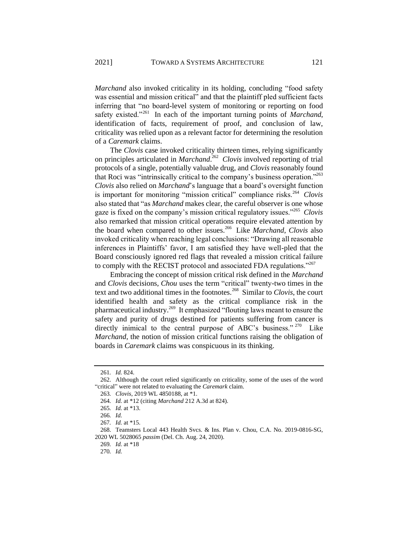*Marchand* also invoked criticality in its holding, concluding "food safety was essential and mission critical" and that the plaintiff pled sufficient facts inferring that "no board-level system of monitoring or reporting on food safety existed."<sup>261</sup> In each of the important turning points of *Marchand*, identification of facts, requirement of proof, and conclusion of law, criticality was relied upon as a relevant factor for determining the resolution of a *Caremark* claims.

The *Clovis* case invoked criticality thirteen times, relying significantly on principles articulated in *Marchand*. 262 *Clovis* involved reporting of trial protocols of a single, potentially valuable drug, and *Clovis* reasonably found that Roci was "intrinsically critical to the company's business operation."<sup>263</sup> *Clovis* also relied on *Marchand*'s language that a board's oversight function is important for monitoring "mission critical" compliance risks.<sup>264</sup> Clovis also stated that "as *Marchand* makes clear, the careful observer is one whose gaze is fixed on the company's mission critical regulatory issues."<sup>265</sup> *Clovis*  also remarked that mission critical operations require elevated attention by the board when compared to other issues.<sup>266</sup> Like *Marchand*, *Clovis* also invoked criticality when reaching legal conclusions: "Drawing all reasonable inferences in Plaintiffs' favor, I am satisfied they have well-pled that the Board consciously ignored red flags that revealed a mission critical failure to comply with the RECIST protocol and associated FDA regulations."<sup>267</sup>

Embracing the concept of mission critical risk defined in the *Marchand* and *Clovis* decisions*, Chou* uses the term "critical" twenty-two times in the text and two additional times in the footnotes.<sup>268</sup> Similar to *Clovis*, the court identified health and safety as the critical compliance risk in the pharmaceutical industry.<sup>269</sup> It emphasized "flouting laws meant to ensure the safety and purity of drugs destined for patients suffering from cancer is directly inimical to the central purpose of ABC's business."  $270$  Like *Marchand*, the notion of mission critical functions raising the obligation of boards in *Caremark* claims was conspicuous in its thinking.

269*. Id.* at \*18

<sup>261</sup>*. Id.* 824.

<sup>262.</sup> Although the court relied significantly on criticality, some of the uses of the word "critical" were not related to evaluating the *Caremark* claim.

<sup>263</sup>*. Clovis*, 2019 WL 4850188, at \*1.

<sup>264</sup>*. Id.* at \*12 (citing *Marchand* 212 A.3d at 824).

<sup>265</sup>*. Id.* at \*13.

<sup>266</sup>*. Id.*

<sup>267</sup>*. Id.* at \*15.

<sup>268.</sup> Teamsters Local 443 Health Svcs. & Ins. Plan v. Chou, C.A. No. 2019-0816-SG, 2020 WL 5028065 *passim* (Del. Ch. Aug. 24, 2020).

<sup>270</sup>*. Id.*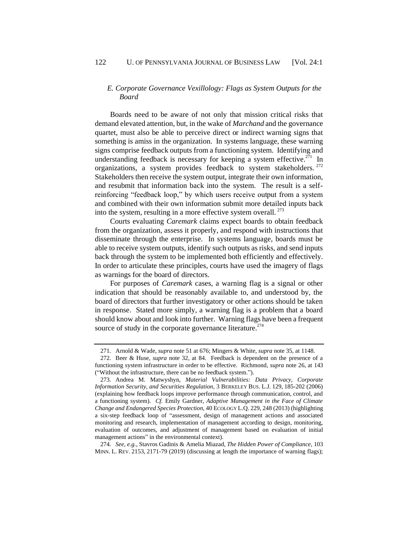# *E. Corporate Governance Vexillology: Flags as System Outputs for the Board*

Boards need to be aware of not only that mission critical risks that demand elevated attention, but, in the wake of *Marchand* and the governance quartet, must also be able to perceive direct or indirect warning signs that something is amiss in the organization. In systems language, these warning signs comprise feedback outputs from a functioning system. Identifying and understanding feedback is necessary for keeping a system effective.<sup>271</sup> In organizations, a system provides feedback to system stakeholders. <sup>272</sup> Stakeholders then receive the system output, integrate their own information, and resubmit that information back into the system. The result is a selfreinforcing "feedback loop," by which users receive output from a system and combined with their own information submit more detailed inputs back into the system, resulting in a more effective system overall. <sup>273</sup>

Courts evaluating *Caremark* claims expect boards to obtain feedback from the organization, assess it properly, and respond with instructions that disseminate through the enterprise. In systems language, boards must be able to receive system outputs, identify such outputs as risks, and send inputs back through the system to be implemented both efficiently and effectively. In order to articulate these principles, courts have used the imagery of flags as warnings for the board of directors.

For purposes of *Caremark* cases, a warning flag is a signal or other indication that should be reasonably available to, and understood by, the board of directors that further investigatory or other actions should be taken in response. Stated more simply, a warning flag is a problem that a board should know about and look into further. Warning flags have been a frequent source of study in the corporate governance literature.<sup>274</sup>

274*. See, e.g.*, Stavros Gadinis & Amelia Miazad, *The Hidden Power of Compliance*, 103 MINN. L. REV. 2153, 2171-79 (2019) (discussing at length the importance of warning flags);

<sup>271.</sup> Arnold & Wade, *supra* not[e 51](#page-9-2) at 676; Mingers & White, *supra* note [35,](#page-7-0) at 1148.

<sup>272.</sup> Beer & Huse, *supra* note [32,](#page-7-2) at 84. Feedback is dependent on the presence of a functioning system infrastructure in order to be effective. Richmond, *supra* not[e 26,](#page-6-1) at 143 ("Without the infrastructure, there can be no feedback system.").

<sup>273.</sup> Andrea M. Matwyshyn, *Material Vulnerabilities: Data Privacy, Corporate Information Security, and Securities Regulation*, 3 BERKELEY BUS. L.J. 129, 185-202 (2006) (explaining how feedback loops improve performance through communication, control, and a functioning system). *Cf.* Emily Gardner, *Adaptive Management in the Face of Climate Change and Endangered Species Protection*, 40 ECOLOGY L.Q. 229, 248 (2013) (highlighting a six-step feedback loop of "assessment, design of management actions and associated monitoring and research, implementation of management according to design, monitoring, evaluation of outcomes, and adjustment of management based on evaluation of initial management actions" in the environmental context).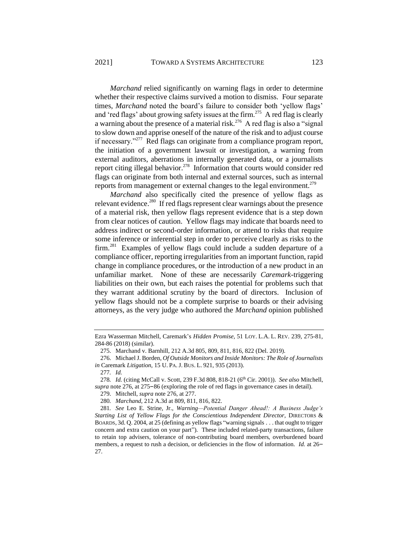<span id="page-39-0"></span>*Marchand* relied significantly on warning flags in order to determine whether their respective claims survived a motion to dismiss. Four separate times, *Marchand* noted the board's failure to consider both 'yellow flags' and 'red flags' about growing safety issues at the firm.<sup>275</sup> A red flag is clearly a warning about the presence of a material risk.<sup>276</sup> A red flag is also a "signal" to slow down and apprise oneself of the nature of the risk and to adjust course if necessary."<sup>277</sup> Red flags can originate from a compliance program report, the initiation of a government lawsuit or investigation, a warning from external auditors, aberrations in internally generated data, or a journalists report citing illegal behavior.<sup>278</sup> Information that courts would consider red flags can originate from both internal and external sources, such as internal reports from management or external changes to the legal environment.<sup>279</sup>

*Marchand* also specifically cited the presence of yellow flags as relevant evidence.<sup>280</sup> If red flags represent clear warnings about the presence of a material risk, then yellow flags represent evidence that is a step down from clear notices of caution. Yellow flags may indicate that boards need to address indirect or second-order information, or attend to risks that require some inference or inferential step in order to perceive clearly as risks to the firm.<sup>281</sup> Examples of yellow flags could include a sudden departure of a compliance officer, reporting irregularities from an important function, rapid change in compliance procedures, or the introduction of a new product in an unfamiliar market. None of these are necessarily *Caremark*-triggering liabilities on their own, but each raises the potential for problems such that they warrant additional scrutiny by the board of directors. Inclusion of yellow flags should not be a complete surprise to boards or their advising attorneys, as the very judge who authored the *Marchand* opinion published

Ezra Wasserman Mitchell, Caremark's *Hidden Promise*, 51 LOY. L.A. L. REV. 239, 275-81, 284-86 (2018) (similar).

<sup>275.</sup> Marchand v. Barnhill, 212 A.3d 805, 809, 811, 816, 822 (Del. 2019).

<sup>276.</sup> Michael J. Borden, *Of Outside Monitors and Inside Monitors: The Role of Journalists in* Caremark *Litigation*, 15 U. PA.J. BUS. L. 921, 935 (2013).

<sup>277</sup>*. Id.*

<sup>278</sup>*. Id.* (citing McCall v. Scott, 239 F.3d 808, 818-21 (6th Cir. 2001)). *See also* Mitchell, *supra* note 276, at 275–86 (exploring the role of red flags in governance cases in detail).

<sup>279.</sup> Mitchell, *supra* not[e 276,](#page-39-0) at 277.

<sup>280</sup>*. Marchand*, 212 A.3d at 809, 811, 816, 822.

<sup>281</sup>*. See* Leo E. Strine, Jr., *Warning—Potential Danger Ahead!: A Business Judge's Starting List of Yellow Flags for the Conscientious Independent Director*, DIRECTORS & BOARDS, 3d. Q. 2004, at 25 (defining as yellow flags "warning signals . . . that ought to trigger concern and extra caution on your part"). These included related-party transactions, failure to retain top advisers, tolerance of non-contributing board members, overburdened board members, a request to rush a decision, or deficiencies in the flow of information. *Id.* at 26– 27.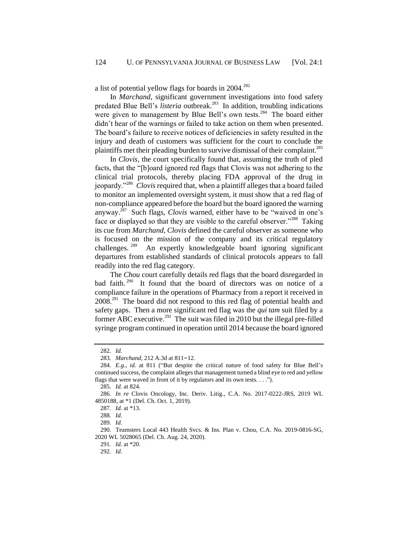a list of potential yellow flags for boards in 2004.<sup>282</sup>

In *Marchand*, significant government investigations into food safety predated Blue Bell's *listeria* outbreak.<sup>283</sup> In addition, troubling indications were given to management by Blue Bell's own tests.<sup>284</sup> The board either didn't hear of the warnings or failed to take action on them when presented. The board's failure to receive notices of deficiencies in safety resulted in the injury and death of customers was sufficient for the court to conclude the plaintiffs met their pleading burden to survive dismissal of their complaint.<sup>285</sup>

<span id="page-40-0"></span>In *Clovis,* the court specifically found that, assuming the truth of pled facts, that the "[b]oard ignored red flags that Clovis was not adhering to the clinical trial protocols, thereby placing FDA approval of the drug in jeopardy."<sup>286</sup> *Clovis* required that, when a plaintiff alleges that a board failed to monitor an implemented oversight system, it must show that a red flag of non-compliance appeared before the board but the board ignored the warning anyway.<sup>287</sup> Such flags, *Clovis* warned, either have to be "waived in one's face or displayed so that they are visible to the careful observer."<sup>288</sup> Taking its cue from *Marchand*, *Clovis* defined the careful observer as someone who is focused on the mission of the company and its critical regulatory challenges. <sup>289</sup> An expertly knowledgeable board ignoring significant departures from established standards of clinical protocols appears to fall readily into the red flag category.

<span id="page-40-1"></span>The *Chou* court carefully details red flags that the board disregarded in bad faith.<sup>290</sup> It found that the board of directors was on notice of a compliance failure in the operations of Pharmacy from a report it received in  $2008<sup>291</sup>$  The board did not respond to this red flag of potential health and safety gaps. Then a more significant red flag was the *qui tam* suit filed by a former ABC executive.<sup>292</sup> The suit was filed in 2010 but the illegal pre-filled syringe program continued in operation until 2014 because the board ignored

<sup>282</sup>*. Id.*

<sup>283</sup>*. Marchand*, 212 A.3d at 811–12.

<sup>284</sup>*. E.g., id.* at 811 ("But despite the critical nature of food safety for Blue Bell's continued success, the complaint alleges that management turned a blind eye to red and yellow flags that were waved in front of it by regulators and its own tests. . . .").

<sup>285</sup>*. Id.* at 824.

<sup>286</sup>*. In re* Clovis Oncology, Inc. Deriv. Litig., C.A. No. 2017-0222-JRS, 2019 WL 4850188, at \*1 (Del. Ch. Oct. 1, 2019).

<sup>287</sup>*. Id.* at \*13.

<sup>288</sup>*. Id.*

<sup>289</sup>*. Id.*

<sup>290.</sup> Teamsters Local 443 Health Svcs. & Ins. Plan v. Chou, C.A. No. 2019-0816-SG, 2020 WL 5028065 (Del. Ch. Aug. 24, 2020).

<sup>291</sup>*. Id.* at \*20.

<sup>292</sup>*. Id.*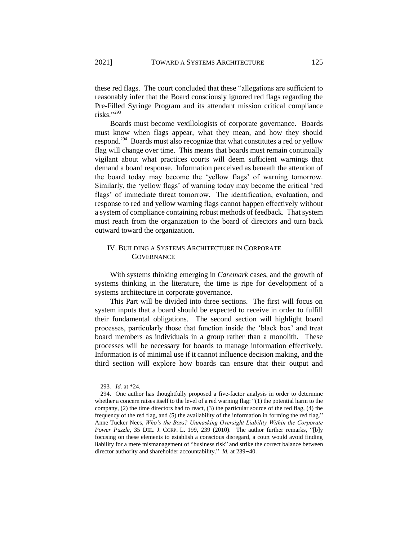these red flags. The court concluded that these "allegations are sufficient to reasonably infer that the Board consciously ignored red flags regarding the Pre-Filled Syringe Program and its attendant mission critical compliance risks."<sup>293</sup>

Boards must become vexillologists of corporate governance. Boards must know when flags appear, what they mean, and how they should respond.<sup>294</sup> Boards must also recognize that what constitutes a red or yellow flag will change over time. This means that boards must remain continually vigilant about what practices courts will deem sufficient warnings that demand a board response. Information perceived as beneath the attention of the board today may become the 'yellow flags' of warning tomorrow. Similarly, the 'yellow flags' of warning today may become the critical 'red flags' of immediate threat tomorrow. The identification, evaluation, and response to red and yellow warning flags cannot happen effectively without a system of compliance containing robust methods of feedback. That system must reach from the organization to the board of directors and turn back outward toward the organization.

# IV. BUILDING A SYSTEMS ARCHITECTURE IN CORPORATE **GOVERNANCE**

With systems thinking emerging in *Caremark* cases, and the growth of systems thinking in the literature, the time is ripe for development of a systems architecture in corporate governance.

This Part will be divided into three sections. The first will focus on system inputs that a board should be expected to receive in order to fulfill their fundamental obligations. The second section will highlight board processes, particularly those that function inside the 'black box' and treat board members as individuals in a group rather than a monolith. These processes will be necessary for boards to manage information effectively. Information is of minimal use if it cannot influence decision making, and the third section will explore how boards can ensure that their output and

<sup>293</sup>*. Id.* at \*24.

<sup>294.</sup> One author has thoughtfully proposed a five-factor analysis in order to determine whether a concern raises itself to the level of a red warning flag: "(1) the potential harm to the company, (2) the time directors had to react, (3) the particular source of the red flag, (4) the frequency of the red flag, and (5) the availability of the information in forming the red flag." Anne Tucker Nees, *Who's the Boss? Unmasking Oversight Liability Within the Corporate Power Puzzle*, 35 DEL. J. CORP. L. 199, 239 (2010). The author further remarks, "[b]y focusing on these elements to establish a conscious disregard, a court would avoid finding liability for a mere mismanagement of "business risk" and strike the correct balance between director authority and shareholder accountability." *Id.* at 239–40.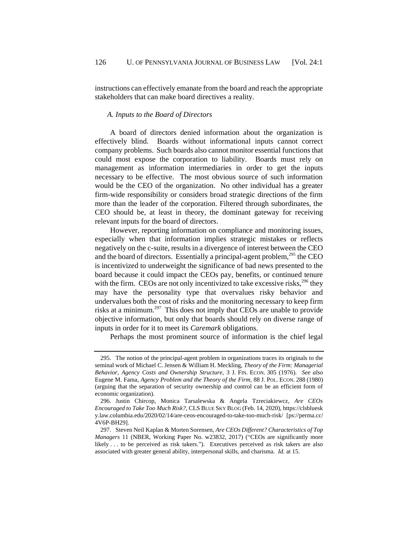instructions can effectively emanate from the board and reach the appropriate stakeholders that can make board directives a reality.

#### *A. Inputs to the Board of Directors*

A board of directors denied information about the organization is effectively blind. Boards without informational inputs cannot correct company problems. Such boards also cannot monitor essential functions that could most expose the corporation to liability. Boards must rely on management as information intermediaries in order to get the inputs necessary to be effective. The most obvious source of such information would be the CEO of the organization. No other individual has a greater firm-wide responsibility or considers broad strategic directions of the firm more than the leader of the corporation. Filtered through subordinates, the CEO should be, at least in theory, the dominant gateway for receiving relevant inputs for the board of directors.

However, reporting information on compliance and monitoring issues, especially when that information implies strategic mistakes or reflects negatively on the c-suite, results in a divergence of interest between the CEO and the board of directors. Essentially a principal-agent problem, $^{295}$  the CEO is incentivized to underweight the significance of bad news presented to the board because it could impact the CEOs pay, benefits, or continued tenure with the firm. CEOs are not only incentivized to take excessive risks,<sup>296</sup> they may have the personality type that overvalues risky behavior and undervalues both the cost of risks and the monitoring necessary to keep firm risks at a minimum.<sup>297</sup> This does not imply that CEOs are unable to provide objective information, but only that boards should rely on diverse range of inputs in order for it to meet its *Caremark* obligations.

Perhaps the most prominent source of information is the chief legal

<sup>295.</sup> The notion of the principal-agent problem in organizations traces its originals to the seminal work of Michael C. Jensen & William H. Meckling, *Theory of the Firm: Managerial Behavior*, *Agency Costs and Ownership Structure*, 3 J. FIN. ECON. 305 (1976). *See also*  Eugene M. Fama*, Agency Problem and the Theory of the Firm,* 88 J. POL. ECON. 288 (1980) (arguing that the separation of security ownership and control can be an efficient form of economic organization).

<sup>296.</sup> Justin Chircop, Monica Tarsalewska & Angela Tzreciakiewcz, *Are CEOs Encouraged to Take Too Much Risk?*, CLS BLUE SKY BLOG (Feb. 14, 2020), https://clsbluesk y.law.columbia.edu/2020/02/14/are-ceos-encouraged-to-take-too-much-risk/ [ps://perma.cc/ 4V6P-BH29].

<sup>297.</sup> Steven Neil Kaplan & Morten Sorensen, *Are CEOs Different? Characteristics of Top Managers* 11 (NBER, Working Paper No. w23832, 2017) ("CEOs are significantly more likely . . . to be perceived as risk takers."). Executives perceived as risk takers are also associated with greater general ability, interpersonal skills, and charisma. *Id.* at 15.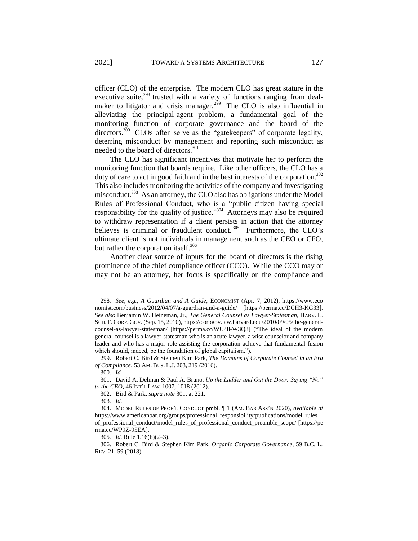officer (CLO) of the enterprise. The modern CLO has great stature in the executive suite,<sup>298</sup> trusted with a variety of functions ranging from dealmaker to litigator and crisis manager.<sup>299</sup> The CLO is also influential in alleviating the principal-agent problem, a fundamental goal of the monitoring function of corporate governance and the board of the directors.<sup>300</sup> CLOs often serve as the "gatekeepers" of corporate legality, deterring misconduct by management and reporting such misconduct as needed to the board of directors.<sup>301</sup>

<span id="page-43-0"></span>The CLO has significant incentives that motivate her to perform the monitoring function that boards require. Like other officers, the CLO has a duty of care to act in good faith and in the best interests of the corporation.<sup>302</sup> This also includes monitoring the activities of the company and investigating misconduct.<sup>303</sup> As an attorney, the CLO also has obligations under the Model Rules of Professional Conduct, who is a "public citizen having special responsibility for the quality of justice."<sup>304</sup> Attorneys may also be required to withdraw representation if a client persists in action that the attorney believes is criminal or fraudulent conduct.<sup>305</sup> Furthermore, the CLO's ultimate client is not individuals in management such as the CEO or CFO, but rather the corporation itself.<sup>306</sup>

Another clear source of inputs for the board of directors is the rising prominence of the chief compliance officer (CCO). While the CCO may or may not be an attorney, her focus is specifically on the compliance and

300*. Id.*

303*. Id.*

305*. Id.* Rule 1.16(b)(2–3).

306. Robert C. Bird & Stephen Kim Park, *Organic Corporate Governance*, 59 B.C. L. REV. 21, 59 (2018).

<sup>298</sup>*. See, e.g.*, *A Guardian and A Guide*, ECONOMIST (Apr. 7, 2012), https://www.eco nomist.com/business/2012/04/07/a-guardian-and-a-guide/ [https://perma.cc/DCH3-KG33]. *See also* Benjamin W. Heineman, Jr., *The General Counsel as Lawyer-Statesman*, HARV. L. SCH. F.CORP. GOV. (Sep. 15, 2010), https://corpgov.law.harvard.edu/2010/09/05/the-generalcounsel-as-lawyer-statesman/ [https://perma.cc/WU48-W3Q3] ("The ideal of the modern general counsel is a lawyer-statesman who is an acute lawyer, a wise counselor and company leader and who has a major role assisting the corporation achieve that fundamental fusion which should, indeed, be the foundation of global capitalism.").

<sup>299.</sup> Robert C. Bird & Stephen Kim Park, *The Domains of Corporate Counsel in an Era of Compliance*, 53 AM. BUS. L.J. 203, 219 (2016).

<sup>301.</sup> David A. Delman & Paul A. Bruno, *Up the Ladder and Out the Door: Saying "No" to the CEO*, 46 INT'L LAW. 1007, 1018 (2012).

<sup>302.</sup> Bird & Park, *supra note* [301,](#page-43-0) at 221.

<sup>304.</sup> MODEL RULES OF PROF'L CONDUCT pmbl. ¶ 1 (AM. BAR ASS'N 2020), *available at* https://www.americanbar.org/groups/professional\_responsibility/publications/model\_rules\_ of\_professional\_conduct/model\_rules\_of\_professional\_conduct\_preamble\_scope/ [https://pe rma.cc/WP9Z-95EA].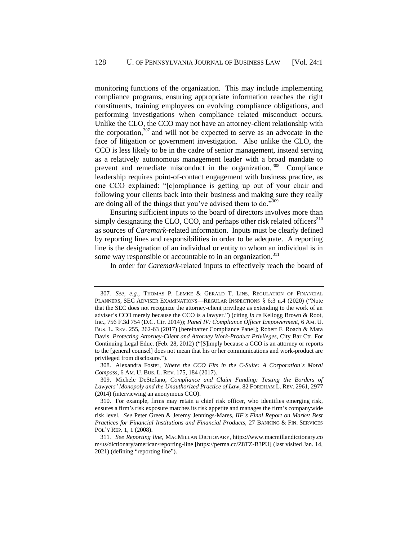monitoring functions of the organization. This may include implementing compliance programs, ensuring appropriate information reaches the right constituents, training employees on evolving compliance obligations, and performing investigations when compliance related misconduct occurs. Unlike the CLO, the CCO may not have an attorney-client relationship with the corporation, $307$  and will not be expected to serve as an advocate in the face of litigation or government investigation. Also unlike the CLO, the CCO is less likely to be in the cadre of senior management, instead serving as a relatively autonomous management leader with a broad mandate to prevent and remediate misconduct in the organization.<sup>308</sup> Compliance leadership requires point-of-contact engagement with business practice, as one CCO explained: "[c]ompliance is getting up out of your chair and following your clients back into their business and making sure they really are doing all of the things that you've advised them to do."<sup>309</sup>

Ensuring sufficient inputs to the board of directors involves more than simply designating the CLO, CCO, and perhaps other risk related officers $310$ as sources of *Caremark*-related information. Inputs must be clearly defined by reporting lines and responsibilities in order to be adequate. A reporting line is the designation of an individual or entity to whom an individual is in some way responsible or accountable to in an organization.<sup>311</sup>

<span id="page-44-0"></span>In order for *Caremark-*related inputs to effectively reach the board of

<sup>307</sup>*. See, e.g.*, THOMAS P. LEMKE & GERALD T. LINS, REGULATION OF FINANCIAL PLANNERS, SEC ADVISER EXAMINATIONS—REGULAR INSPECTIONS § 6:3 n.4 (2020) ("Note that the SEC does not recognize the attorney-client privilege as extending to the work of an adviser's CCO merely because the CCO is a lawyer.") (citing *In re* Kellogg Brown & Root, Inc., 756 F.3d 754 (D.C. Cir. 2014)); *Panel IV: Compliance Officer Empowerment*, 6 AM. U. BUS. L. REV. 255, 262-63 (2017) [hereinafter Compliance Panel]; Robert F. Roach & Mara Davis, *Protecting Attorney-Client and Attorney Work-Product Privileges*, City Bar Ctr. For Continuing Legal Educ. (Feb. 28, 2012) ("[S]imply because a CCO is an attorney or reports to the [general counsel] does not mean that his or her communications and work-product are privileged from disclosure.").

<sup>308.</sup> Alexandra Foster, *Where the CCO Fits in the C-Suite: A Corporation's Moral Compass*, 6 AM. U. BUS. L. REV. 175, 184 (2017).

<sup>309.</sup> Michele DeStefano, *Compliance and Claim Funding: Testing the Borders of Lawyers' Monopoly and the Unauthorized Practice of Law*, 82 FORDHAM L. REV. 2961, 2977 (2014) (interviewing an anonymous CCO).

<sup>310.</sup> For example, firms may retain a chief risk officer, who identifies emerging risk, ensures a firm's risk exposure matches its risk appetite and manages the firm's companywide risk level. *See* Peter Green & Jeremy Jennings-Mares, *IIF's Final Report on Market Best Practices for Financial Institutions and Financial Products*, 27 BANKING & FIN. SERVICES POL'Y REP. 1, 1 (2008).

<sup>311</sup>*. See Reporting line*, MACMILLAN DICTIONARY, https://www.macmillandictionary.co m/us/dictionary/american/reporting-line [https://perma.cc/Z8TZ-B3PU] (last visited Jan. 14, 2021) (defining "reporting line").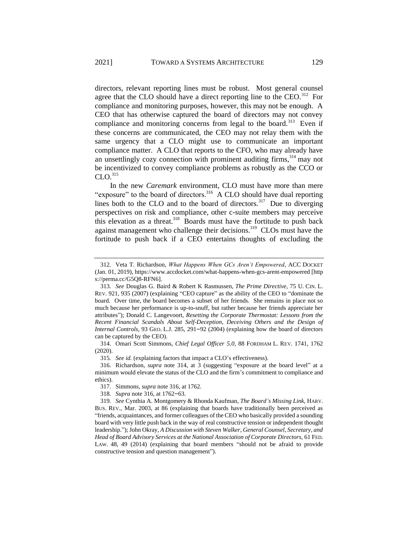directors, relevant reporting lines must be robust. Most general counsel agree that the CLO should have a direct reporting line to the CEO.<sup>312</sup> For compliance and monitoring purposes, however, this may not be enough. A CEO that has otherwise captured the board of directors may not convey compliance and monitoring concerns from legal to the board.<sup>313</sup> Even if these concerns are communicated, the CEO may not relay them with the same urgency that a CLO might use to communicate an important compliance matter. A CLO that reports to the CFO, who may already have an unsettlingly cozy connection with prominent auditing firms,  $314$  may not be incentivized to convey compliance problems as robustly as the CCO or  $CLO.<sup>315</sup>$ 

<span id="page-45-1"></span><span id="page-45-0"></span>In the new *Caremark* environment, CLO must have more than mere "exposure" to the board of directors.<sup>316</sup> A CLO should have dual reporting lines both to the CLO and to the board of directors.<sup>317</sup> Due to diverging perspectives on risk and compliance, other c-suite members may perceive this elevation as a threat.<sup>318</sup> Boards must have the fortitude to push back against management who challenge their decisions.<sup>319</sup> CLOs must have the fortitude to push back if a CEO entertains thoughts of excluding the

315*. See id.* (explaining factors that impact a CLO's effectiveness).

<sup>312.</sup> Veta T. Richardson, *What Happens When GCs Aren't Empowered*, ACC DOCKET (Jan. 01, 2019), https://www.accdocket.com/what-happens-when-gcs-arent-empowered [http s://perma.cc/G5Q8-RFN6].

<sup>313</sup>*. See* Douglas G. Baird & Robert K Rasmussen, *The Prime Directive*, 75 U. CIN. L. REV. 921, 935 (2007) (explaining "CEO capture" as the ability of the CEO to "dominate the board. Over time, the board becomes a subset of her friends. She remains in place not so much because her performance is up-to-snuff, but rather because her friends appreciate her attributes"); Donald C. Langevoort, *Resetting the Corporate Thermostat: Lessons from the Recent Financial Scandals About Self-Deception, Deceiving Others and the Design of Internal Controls*, 93 GEO. L.J. 285, 291–92 (2004) (explaining how the board of directors can be captured by the CEO).

<sup>314.</sup> Omari Scott Simmons, *Chief Legal Officer 5.0*, 88 FORDHAM L. REV. 1741, 1762 (2020).

<sup>316.</sup> Richardson, *supra* note [314,](#page-45-0) at 3 (suggesting "exposure at the board level" at a minimum would elevate the status of the CLO and the firm's commitment to compliance and ethics).

<sup>317.</sup> Simmons, *supra* not[e 316,](#page-45-1) at 1762.

<sup>318</sup>*. Supra* not[e 316,](#page-45-1) at 1762–63.

<sup>319</sup>*. See* Cynthia A. Montgomery & Rhonda Kaufman, *The Board's Missing Link*, HARV. BUS. REV., Mar. 2003, at 86 (explaining that boards have traditionally been perceived as "friends, acquaintances, and former colleagues of the CEO who basically provided a sounding board with very little push back in the way of real constructive tension or independent thought leadership."); John Okray, *A Discussion with Steven Walker, General Counsel, Secretary, and Head of Board Advisory Services at the National Association of Corporate Directors,* 61 FED. LAW. 48, 49 (2014) (explaining that board members "should not be afraid to provide constructive tension and question management").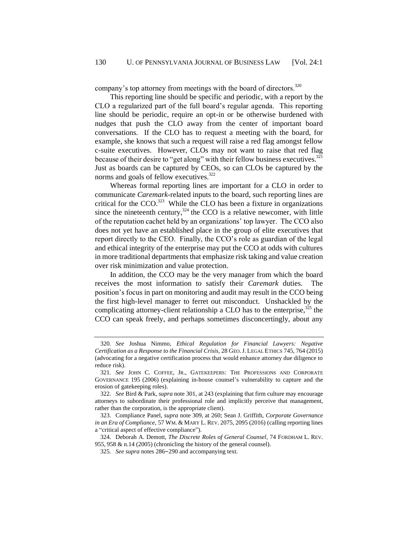company's top attorney from meetings with the board of directors.<sup>320</sup>

This reporting line should be specific and periodic, with a report by the CLO a regularized part of the full board's regular agenda. This reporting line should be periodic, require an opt-in or be otherwise burdened with nudges that push the CLO away from the center of important board conversations. If the CLO has to request a meeting with the board, for example, she knows that such a request will raise a red flag amongst fellow c-suite executives. However, CLOs may not want to raise that red flag because of their desire to "get along" with their fellow business executives.<sup>321</sup> Just as boards can be captured by CEOs, so can CLOs be captured by the norms and goals of fellow executives.<sup>322</sup>

Whereas formal reporting lines are important for a CLO in order to communicate *Caremark*-related inputs to the board, such reporting lines are critical for the  $CCO$ .<sup>323</sup> While the CLO has been a fixture in organizations since the nineteenth century,  $324$  the CCO is a relative newcomer, with little of the reputation cachet held by an organizations' top lawyer. The CCO also does not yet have an established place in the group of elite executives that report directly to the CEO. Finally, the CCO's role as guardian of the legal and ethical integrity of the enterprise may put the CCO at odds with cultures in more traditional departments that emphasize risk taking and value creation over risk minimization and value protection.

<span id="page-46-0"></span>In addition, the CCO may be the very manager from which the board receives the most information to satisfy their *Caremark* duties. The position's focus in part on monitoring and audit may result in the CCO being the first high-level manager to ferret out misconduct. Unshackled by the complicating attorney-client relationship a CLO has to the enterprise, $325$  the CCO can speak freely, and perhaps sometimes disconcertingly, about any

<sup>320</sup>*. See* Joshua Nimmo, *Ethical Regulation for Financial Lawyers: Negative Certification as a Response to the Financial Crisis,* 28 GEO.J. LEGAL ETHICS 745, 764 (2015) (advocating for a negative certification process that would enhance attorney due diligence to reduce risk).

<sup>321</sup>*. See* JOHN C. COFFEE, JR., GATEKEEPERS: THE PROFESSIONS AND CORPORATE GOVERNANCE 195 (2006) (explaining in-house counsel's vulnerability to capture and the erosion of gatekeeping roles).

<sup>322</sup>*. See* Bird & Park, *supra* not[e 301,](#page-43-0) at 243 (explaining that firm culture may encourage attorneys to subordinate their professional role and implicitly perceive that management, rather than the corporation, is the appropriate client).

<sup>323.</sup> Compliance Panel, *supra* not[e 309,](#page-44-0) at 260; Sean J. Griffith, *Corporate Governance in an Era of Compliance*, 57 WM. & MARY L. REV. 2075, 2095 (2016) (calling reporting lines a "critical aspect of effective compliance").

<sup>324.</sup> Deborah A. Demott, *The Discrete Roles of General Counsel*, 74 FORDHAM L. REV. 955, 958 & n.14 (2005) (chronicling the history of the general counsel).

<sup>325</sup>*. See supra* notes [286](#page-40-0)–[290](#page-40-1) and accompanying text.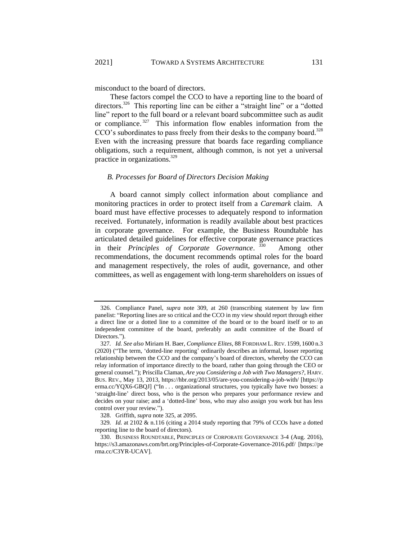misconduct to the board of directors.

These factors compel the CCO to have a reporting line to the board of directors.<sup>326</sup> This reporting line can be either a "straight line" or a "dotted line" report to the full board or a relevant board subcommittee such as audit or compliance.<sup>327</sup> This information flow enables information from the CCO's subordinates to pass freely from their desks to the company board.<sup>328</sup> Even with the increasing pressure that boards face regarding compliance obligations, such a requirement, although common, is not yet a universal practice in organizations.<sup>329</sup>

#### <span id="page-47-0"></span>*B. Processes for Board of Directors Decision Making*

A board cannot simply collect information about compliance and monitoring practices in order to protect itself from a *Caremark* claim. A board must have effective processes to adequately respond to information received. Fortunately, information is readily available about best practices in corporate governance. For example, the Business Roundtable has articulated detailed guidelines for effective corporate governance practices in their *Principles of Corporate Governance*. 330 Among other recommendations, the document recommends optimal roles for the board and management respectively, the roles of audit, governance, and other committees, as well as engagement with long-term shareholders on issues of

<sup>326.</sup> Compliance Panel, *supra* note [309,](#page-44-0) at 260 (transcribing statement by law firm panelist: "Reporting lines are so critical and the CCO in my view should report through either a direct line or a dotted line to a committee of the board or to the board itself or to an independent committee of the board, preferably an audit committee of the Board of Directors.").

<sup>327</sup>*. Id. See also* Miriam H. Baer, *Compliance Elites*, 88 FORDHAM L.REV. 1599, 1600 n.3 (2020) ("The term, 'dotted-line reporting' ordinarily describes an informal, looser reporting relationship between the CCO and the company's board of directors, whereby the CCO can relay information of importance directly to the board, rather than going through the CEO or general counsel."); Priscilla Claman, *Are you Considering a Job with Two Managers?*, HARV. BUS. REV., May 13, 2013, https://hbr.org/2013/05/are-you-considering-a-job-with/ [https://p erma.cc/YQX6-GBQJ] ("In . . . organizational structures, you typically have two bosses: a 'straight-line' direct boss, who is the person who prepares your performance review and decides on your raise; and a 'dotted-line' boss, who may also assign you work but has less control over your review.").

<sup>328.</sup> Griffith, *supra* not[e 325,](#page-46-0) at 2095.

<sup>329</sup>*. Id.* at 2102 & n.116 (citing a 2014 study reporting that 79% of CCOs have a dotted reporting line to the board of directors).

<sup>330.</sup> BUSINESS ROUNDTABLE, PRINCIPLES OF CORPORATE GOVERNANCE 3-4 (Aug. 2016), https://s3.amazonaws.com/brt.org/Principles-of-Corporate-Governance-2016.pdf/ [https://pe rma.cc/C3YR-UCAV].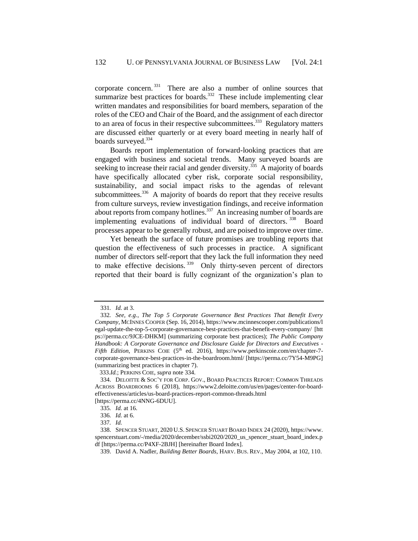corporate concern.<sup>331</sup> There are also a number of online sources that summarize best practices for boards. $332$  These include implementing clear written mandates and responsibilities for board members, separation of the roles of the CEO and Chair of the Board, and the assignment of each director to an area of focus in their respective subcommittees. $333$  Regulatory matters are discussed either quarterly or at every board meeting in nearly half of boards surveyed.<sup>334</sup>

<span id="page-48-0"></span>Boards report implementation of forward-looking practices that are engaged with business and societal trends. Many surveyed boards are seeking to increase their racial and gender diversity.<sup>335</sup> A majority of boards have specifically allocated cyber risk, corporate social responsibility, sustainability, and social impact risks to the agendas of relevant subcommittees. $336$  A majority of boards do report that they receive results from culture surveys, review investigation findings, and receive information about reports from company hotlines.<sup>337</sup> An increasing number of boards are implementing evaluations of individual board of directors.<sup>338</sup> Board processes appear to be generally robust, and are poised to improve over time.

Yet beneath the surface of future promises are troubling reports that question the effectiveness of such processes in practice. A significant number of directors self-report that they lack the full information they need to make effective decisions.  $339$  Only thirty-seven percent of directors reported that their board is fully cognizant of the organization's plan to

<sup>331</sup>*. Id.* at 3.

<sup>332</sup>*. See, e.g.*, *The Top 5 Corporate Governance Best Practices That Benefit Every Company*, MCINNES COOPER (Sep. 16, 2014), https://www.mcinnescooper.com/publications/l egal-update-the-top-5-corporate-governance-best-practices-that-benefit-every-company/ [htt ps://perma.cc/9JCE-DHKM] (summarizing corporate best practices); *The Public Company Handbook: A Corporate Governance and Disclosure Guide for Directors and Executives - Fifth Edition*, PERKINS COIE (5<sup>th</sup> ed. 2016), https://www.perkinscoie.com/en/chapter-7corporate-governance-best-practices-in-the-boardroom.html/ [https://perma.cc/7Y54-M9PG] (summarizing best practices in chapter 7).

333.*Id.*; PERKINS COIE, *supra* note [334.](#page-48-0)

<sup>334.</sup> DELOITTE & SOC'Y FOR CORP. GOV., BOARD PRACTICES REPORT: COMMON THREADS ACROSS BOARDROOMS 6 (2018), https://www2.deloitte.com/us/en/pages/center-for-boardeffectiveness/articles/us-board-practices-report-common-threads.html [https://perma.cc/4NNG-6DUU].

<sup>335</sup>*. Id.* at 16.

<sup>336</sup>*. Id.* at 6.

<sup>337</sup>*. Id.*

<sup>338.</sup> SPENCER STUART, 2020 U.S. SPENCER STUART BOARD INDEX 24 (2020), https://www. spencerstuart.com/-/media/2020/december/ssbi2020/2020\_us\_spencer\_stuart\_board\_index.p df [https://perma.cc/P4XF-2BJH] [hereinafter Board Index].

<sup>339.</sup> David A. Nadler, *Building Better Boards*, HARV. BUS. REV., May 2004, at 102, 110.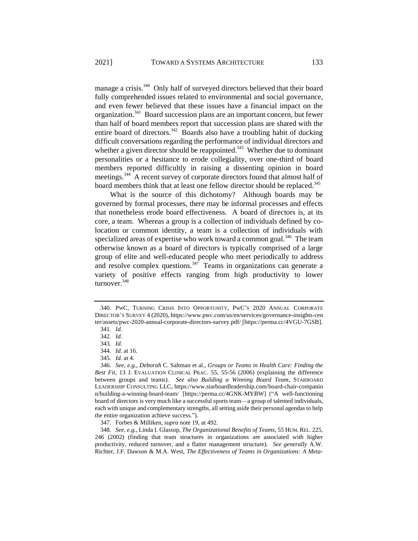<span id="page-49-0"></span>manage a crisis.<sup>340</sup> Only half of surveyed directors believed that their board fully comprehended issues related to environmental and social governance, and even fewer believed that these issues have a financial impact on the organization.<sup>341</sup> Board succession plans are an important concern, but fewer than half of board members report that succession plans are shared with the entire board of directors.<sup>342</sup> Boards also have a troubling habit of ducking difficult conversations regarding the performance of individual directors and whether a given director should be reappointed.<sup>343</sup> Whether due to dominant personalities or a hesitance to erode collegiality, over one-third of board members reported difficultly in raising a dissenting opinion in board meetings.<sup>344</sup> A recent survey of corporate directors found that almost half of board members think that at least one fellow director should be replaced.<sup>345</sup>

What is the source of this dichotomy? Although boards may be governed by formal processes, there may be informal processes and effects that nonetheless erode board effectiveness. A board of directors is, at its core, a team. Whereas a group is a collection of individuals defined by colocation or common identity, a team is a collection of individuals with specialized areas of expertise who work toward a common goal.<sup>346</sup> The team otherwise known as a board of directors is typically comprised of a large group of elite and well-educated people who meet periodically to address and resolve complex questions.<sup>347</sup> Teams in organizations can generate a variety of positive effects ranging from high productivity to lower turnover.<sup>348</sup>

<sup>340.</sup> PWC, TURNING CRISIS INTO OPPORTUNITY, PWC'S 2020 ANNUAL CORPORATE DIRECTOR'S SURVEY 4 (2020), https://www.pwc.com/us/en/services/governance-insights-cen ter/assets/pwc-2020-annual-corporate-directors-survey.pdf/ [https://perma.cc/4VGU-7GSB].

<sup>341</sup>*. Id.*

<sup>342</sup>*. Id.*

<sup>343</sup>*. Id.*

<sup>344</sup>*. Id.* at 16.

<sup>345</sup>*. Id.* at 4.

<sup>346</sup>*. See, e.g.*, *Deborah* C. Saltman et al., *Groups or Teams in Health Care: Finding the Best Fit*, 13 J. EVALUATION CLINICAL PRAC. 55, 55-56 (2006) (explaining the difference between groups and teams). *See also Building a Winning Board Team*, STARBOARD LEADERSHIP CONSULTING LLC, https://www.starboardleadership.com/board-chair-companio n/building-a-winning-board-team/ [https://perma.cc/4GNK-MYBW] ("A well-functioning board of directors is very much like a successful sports team—a group of talented individuals, each with unique and complementary strengths, all setting aside their personal agendas to help the entire organization achieve success.").

<sup>347.</sup> Forbes & Milliken, *supra* not[e 19,](#page-5-1) at 492.

<sup>348</sup>*. See, e.g.*, Linda I. Glassop, *The Organizational Benefits of Teams*, 55 HUM.REL. 225, 246 (2002) (finding that team structures in organizations are associated with higher productivity, reduced turnover, and a flatter management structure). *See generally* A.W. Richter, J.F. Dawson & M.A. West, *The Effectiveness of Teams in Organizations: A Meta-*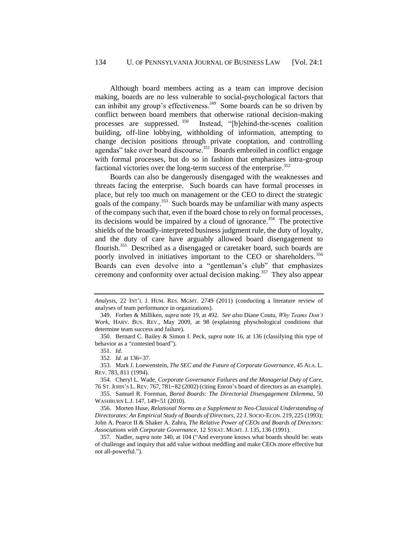Although board members acting as a team can improve decision making, boards are no less vulnerable to social-psychological factors that can inhibit any group's effectiveness.<sup>349</sup> Some boards can be so driven by conflict between board members that otherwise rational decision-making processes are suppressed. <sup>350</sup> Instead, "[b]ehind-the-scenes coalition building, off-line lobbying, withholding of information, attempting to change decision positions through private cooptation, and controlling agendas" take over board discourse.<sup>351</sup> Boards embroiled in conflict engage with formal processes, but do so in fashion that emphasizes intra-group factional victories over the long-term success of the enterprise. $352$ 

Boards can also be dangerously disengaged with the weaknesses and threats facing the enterprise. Such boards can have formal processes in place, but rely too much on management or the CEO to direct the strategic goals of the company.<sup>353</sup> Such boards may be unfamiliar with many aspects of the company such that, even if the board chose to rely on formal processes, its decisions would be impaired by a cloud of ignorance.<sup>354</sup> The protective shields of the broadly-interpreted business judgment rule, the duty of loyalty, and the duty of care have arguably allowed board disengagement to flourish.<sup>355</sup> Described as a disengaged or caretaker board, such boards are poorly involved in initiatives important to the CEO or shareholders.<sup>356</sup> Boards can even devolve into a "gentleman's club" that emphasizes ceremony and conformity over actual decision making.<sup>357</sup> They also appear

*Analysis*, 22 INT'L J. HUM. RES. MGMT. 2749 (2011) (conducting a literature review of analyses of team performance in organizations).

<sup>349.</sup> Forbes & Milliken, *supra* note [19,](#page-5-1) at 492. *See also* Diane Coutu, *Why Teams Don't Work*, HARV. BUS. REV., May 2009, at 98 (explaining physchological conditions that determine team success and failure).

<sup>350.</sup> Bernard C. Bailey & Simon I. Peck, *supra* note [16,](#page-4-0) at 136 (classifying this type of behavior as a "contested board").

<sup>351</sup>*. Id.*

<sup>352</sup>*. Id.* at 136–37.

<sup>353.</sup> Mark J. Loewenstein, *The SEC and the Future of Corporate Governance*, 45 ALA. L. REV. 783, 811 (1994).

<sup>354.</sup> Cheryl L. Wade, *Corporate Governance Failures and the Managerial Duty of Care*, 76 ST.JOHN'S L. REV. 767, 781–82 (2002) (citing Enron's board of directors as an example).

<sup>355.</sup> Samuel R. Foreman, *Bored Boards: The Directorial Disengagement Dilemma*, 50 WASHBURN L.J. 147, 149–51 (2010).

<sup>356.</sup> Morten Huse, *Relational Norms as a Supplement to Neo-Classical Understanding of Directorates: An Empirical Study of Boards of Directors*, 22 J. SOCIO-ECON. 219, 225 (1993); John A. Pearce II & Shaker A. Zahra, *The Relative Power of CEOs and Boards of Directors: Associations with Corporate Governance*, 12 STRAT. MGMT.J. 135, 136 (1991).

<sup>357.</sup> Nadler, *supra* not[e 340,](#page-49-0) at 104 ("And everyone knows what boards should be: seats of challenge and inquiry that add value without meddling and make CEOs more effective but not all-powerful.")*.*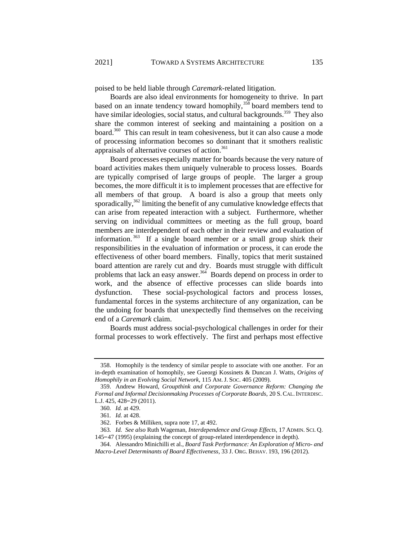poised to be held liable through *Caremark*-related litigation.

Boards are also ideal environments for homogeneity to thrive. In part based on an innate tendency toward homophily,  $358$  board members tend to have similar ideologies, social status, and cultural backgrounds.<sup>359</sup> They also share the common interest of seeking and maintaining a position on a board.<sup>360</sup> This can result in team cohesiveness, but it can also cause a mode of processing information becomes so dominant that it smothers realistic appraisals of alternative courses of action.<sup>361</sup>

Board processes especially matter for boards because the very nature of board activities makes them uniquely vulnerable to process losses. Boards are typically comprised of large groups of people. The larger a group becomes, the more difficult it is to implement processes that are effective for all members of that group. A board is also a group that meets only sporadically,<sup>362</sup> limiting the benefit of any cumulative knowledge effects that can arise from repeated interaction with a subject. Furthermore, whether serving on individual committees or meeting as the full group, board members are interdependent of each other in their review and evaluation of information.<sup>363</sup> If a single board member or a small group shirk their responsibilities in the evaluation of information or process, it can erode the effectiveness of other board members. Finally, topics that merit sustained board attention are rarely cut and dry. Boards must struggle with difficult problems that lack an easy answer.<sup>364</sup> Boards depend on process in order to work, and the absence of effective processes can slide boards into dysfunction. These social-psychological factors and process losses, fundamental forces in the systems architecture of any organization, can be the undoing for boards that unexpectedly find themselves on the receiving end of a *Caremark* claim.

Boards must address social-psychological challenges in order for their formal processes to work effectively. The first and perhaps most effective

<sup>358.</sup> Homophily is the tendency of similar people to associate with one another. For an in-depth examination of homophily, see Gueorgi Kossinets & Duncan J. Watts, *Origins of Homophily in an Evolving Social Network*, 115 AM.J. SOC. 405 (2009).

<sup>359.</sup> Andrew Howard, *Groupthink and Corporate Governance Reform: Changing the Formal and Informal Decisionmaking Processes of Corporate Boards*, 20 S.CAL. INTERDISC. L.J. 425, 428–29 (2011).

<sup>360</sup>*. Id.* at 429.

<sup>361</sup>*. Id.* at 428.

<sup>362.</sup> Forbes & Milliken, supra note [17,](#page-4-1) at 492.

<sup>363</sup>*. Id. See also* Ruth Wageman, *Interdependence and Group Effects*, 17 ADMIN. SCI. Q. 145–47 (1995) (explaining the concept of group-related interdependence in depth).

<sup>364.</sup> Alessandro Minichilli et al., *Board Task Performance: An Exploration of Micro- and Macro-Level Determinants of Board Effectiveness*, 33 J. ORG. BEHAV. 193, 196 (2012).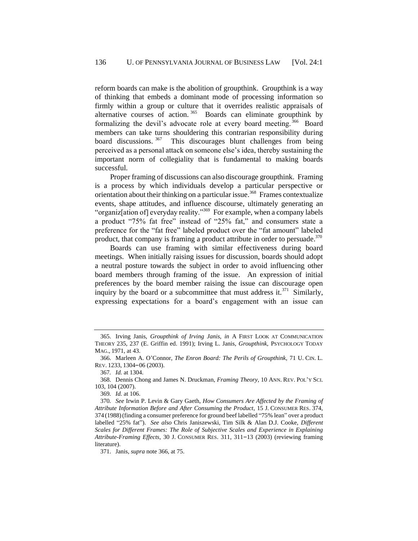<span id="page-52-0"></span>reform boards can make is the abolition of groupthink. Groupthink is a way of thinking that embeds a dominant mode of processing information so firmly within a group or culture that it overrides realistic appraisals of alternative courses of action.<sup>365</sup> Boards can eliminate groupthink by formalizing the devil's advocate role at every board meeting.<sup>366</sup> Board members can take turns shouldering this contrarian responsibility during board discussions.<sup>367</sup> This discourages blunt challenges from being perceived as a personal attack on someone else's idea, thereby sustaining the important norm of collegiality that is fundamental to making boards successful.

Proper framing of discussions can also discourage groupthink. Framing is a process by which individuals develop a particular perspective or orientation about their thinking on a particular issue.<sup>368</sup> Frames contextualize events, shape attitudes, and influence discourse, ultimately generating an "organiz[ation of] everyday reality."<sup>369</sup> For example, when a company labels a product "75% fat free" instead of "25% fat," and consumers state a preference for the "fat free" labeled product over the "fat amount" labeled product, that company is framing a product attribute in order to persuade.<sup>370</sup>

Boards can use framing with similar effectiveness during board meetings. When initially raising issues for discussion, boards should adopt a neutral posture towards the subject in order to avoid influencing other board members through framing of the issue. An expression of initial preferences by the board member raising the issue can discourage open inquiry by the board or a subcommittee that must address it. $371$  Similarly, expressing expectations for a board's engagement with an issue can

<sup>365.</sup> Irving Janis, *Groupthink of Irving Janis, in* A FIRST LOOK AT COMMUNICATION THEORY 235, 237 (E. Griffin ed. 1991); Irving L. Janis, *Groupthink*, PSYCHOLOGY TODAY MAG., 1971, at 43.

<sup>366.</sup> Marleen A. O'Connor, *The Enron Board: The Perils of Groupthink*, 71 U. CIN. L. REV. 1233, 1304–06 (2003).

<sup>367</sup>*. Id.* at 1304.

<sup>368.</sup> Dennis Chong and James N. Druckman, *Framing Theory*, 10 ANN. REV. POL'Y SCI. 103, 104 (2007).

<sup>369</sup>*. Id.* at 106.

<sup>370</sup>*. See* Irwin P. Levin & Gary Gaeth, *How Consumers Are Affected by the Framing of Attribute Information Before and After Consuming the Product*, 15 J. CONSUMER RES. 374, 374 (1988)(finding a consumer preference for ground beef labelled "75% lean" over a product labelled "25% fat"). *See also* Chris Janiszewski, Tim Silk & Alan D.J. Cooke, *Different Scales for Different Frames: The Role of Subjective Scales and Experience in Explaining Attribute-Framing Effects*, 30 J. CONSUMER RES. 311, 311–13 (2003) (reviewing framing literature).

<sup>371.</sup> Janis, *supra* not[e 366,](#page-52-0) at 75.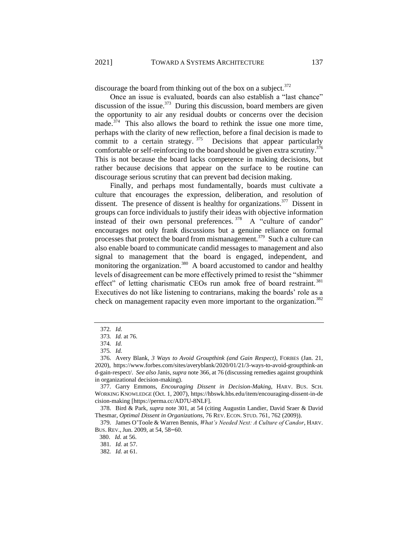discourage the board from thinking out of the box on a subject.<sup>372</sup>

Once an issue is evaluated, boards can also establish a "last chance" discussion of the issue. $373$  During this discussion, board members are given the opportunity to air any residual doubts or concerns over the decision made.<sup>374</sup> This also allows the board to rethink the issue one more time, perhaps with the clarity of new reflection, before a final decision is made to commit to a certain strategy.  $375$  Decisions that appear particularly comfortable or self-reinforcing to the board should be given extra scrutiny.<sup>376</sup> This is not because the board lacks competence in making decisions, but rather because decisions that appear on the surface to be routine can discourage serious scrutiny that can prevent bad decision making.

<span id="page-53-0"></span>Finally, and perhaps most fundamentally, boards must cultivate a culture that encourages the expression, deliberation, and resolution of dissent. The presence of dissent is healthy for organizations.<sup>377</sup> Dissent in groups can force individuals to justify their ideas with objective information instead of their own personal preferences.  $378$  A "culture of candor" encourages not only frank discussions but a genuine reliance on formal processes that protect the board from mismanagement.<sup>379</sup> Such a culture can also enable board to communicate candid messages to management and also signal to management that the board is engaged, independent, and monitoring the organization.<sup>380</sup> A board accustomed to candor and healthy levels of disagreement can be more effectively primed to resist the "shimmer effect" of letting charismatic CEOs run amok free of board restraint.<sup>381</sup> Executives do not like listening to contrarians, making the boards' role as a check on management rapacity even more important to the organization.<sup>382</sup>

<sup>372</sup>*. Id.*

<sup>373</sup>*. Id.* at 76.

<sup>374</sup>*. Id.*

<sup>375</sup>*. Id.*

<sup>376.</sup> Avery Blank, *3 Ways to Avoid Groupthink (and Gain Respect)*, FORBES (Jan. 21, 2020), https://www.forbes.com/sites/averyblank/2020/01/21/3-ways-to-avoid-groupthink-an d-gain-respect/. *See also* Janis, *supra* not[e 366,](#page-52-0) at 76 (discussing remedies against groupthink in organizational decision-making).

<sup>377.</sup> Garry Emmons, *Encouraging Dissent in Decision-Making*, HARV. BUS. SCH. WORKING KNOWLEDGE (Oct. 1, 2007), https://hbswk.hbs.edu/item/encouraging-dissent-in-de cision-making [https://perma.cc/AD7U-8NLF].

<sup>378.</sup> Bird & Park, *supra* not[e 301,](#page-43-0) at 54 (citing Augustin Landier, David Sraer & David Thesmar, *Optimal Dissent in Organizations*, 76 REV. ECON. STUD. 761, 762 (2009)).

<sup>379.</sup> James O'Toole & Warren Bennis, *What's Needed Next: A Culture of Candor*, HARV. BUS. REV.,Jun. 2009, at 54, 58–60.

 <sup>380.</sup> *Id.* at 56.

<sup>381</sup>*. Id.* at 57.

<sup>382</sup>*. Id.* at 61.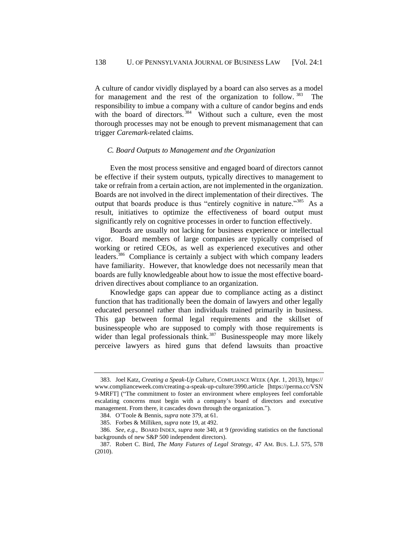A culture of candor vividly displayed by a board can also serves as a model for management and the rest of the organization to follow.<sup>383</sup> The responsibility to imbue a company with a culture of candor begins and ends with the board of directors.<sup>384</sup> Without such a culture, even the most thorough processes may not be enough to prevent mismanagement that can trigger *Caremark-*related claims.

### *C. Board Outputs to Management and the Organization*

Even the most process sensitive and engaged board of directors cannot be effective if their system outputs, typically directives to management to take or refrain from a certain action, are not implemented in the organization. Boards are not involved in the direct implementation of their directives. The output that boards produce is thus "entirely cognitive in nature."<sup>385</sup> As a result, initiatives to optimize the effectiveness of board output must significantly rely on cognitive processes in order to function effectively.

Boards are usually not lacking for business experience or intellectual vigor. Board members of large companies are typically comprised of working or retired CEOs, as well as experienced executives and other leaders.<sup>386</sup> Compliance is certainly a subject with which company leaders have familiarity. However, that knowledge does not necessarily mean that boards are fully knowledgeable about how to issue the most effective boarddriven directives about compliance to an organization.

Knowledge gaps can appear due to compliance acting as a distinct function that has traditionally been the domain of lawyers and other legally educated personnel rather than individuals trained primarily in business. This gap between formal legal requirements and the skillset of businesspeople who are supposed to comply with those requirements is wider than legal professionals think.<sup>387</sup> Businesspeople may more likely perceive lawyers as hired guns that defend lawsuits than proactive

<sup>383.</sup> Joel Katz, *Creating a Speak-Up Culture*, COMPLIANCE WEEK (Apr. 1, 2013), https:// www.complianceweek.com/creating-a-speak-up-culture/3990.article [https://perma.cc/VSN 9-MRFT] ("The commitment to foster an environment where employees feel comfortable escalating concerns must begin with a company's board of directors and executive management. From there, it cascades down through the organization.").

<sup>384.</sup> O'Toole & Bennis, *supra* not[e 379,](#page-53-0) at 61.

<sup>385.</sup> Forbes & Milliken, *supra* not[e 19,](#page-5-1) at 492.

<sup>386</sup>*. See, e.g.*, BOARD INDEX, *supra* not[e 340,](#page-49-0) at 9 (providing statistics on the functional backgrounds of new S&P 500 independent directors).

<sup>387.</sup> Robert C. Bird, *The Many Futures of Legal Strategy*, 47 AM. BUS. L.J. 575, 578 (2010).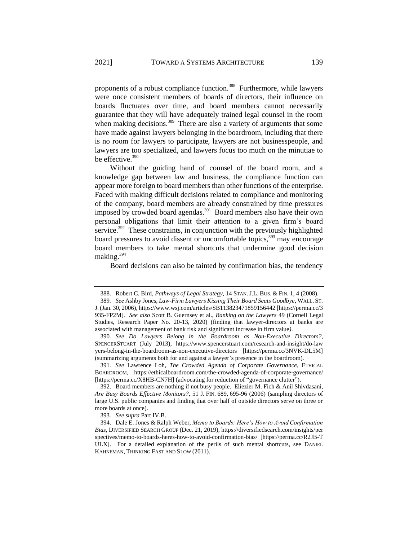proponents of a robust compliance function.<sup>388</sup> Furthermore, while lawyers were once consistent members of boards of directors, their influence on boards fluctuates over time, and board members cannot necessarily guarantee that they will have adequately trained legal counsel in the room when making decisions.<sup>389</sup> There are also a variety of arguments that some have made against lawyers belonging in the boardroom, including that there is no room for lawyers to participate, lawyers are not businesspeople, and lawyers are too specialized, and lawyers focus too much on the minutiae to be effective.<sup>390</sup>

Without the guiding hand of counsel of the board room, and a knowledge gap between law and business, the compliance function can appear more foreign to board members than other functions of the enterprise. Faced with making difficult decisions related to compliance and monitoring of the company, board members are already constrained by time pressures imposed by crowded board agendas.<sup>391</sup> Board members also have their own personal obligations that limit their attention to a given firm's board service.<sup>392</sup> These constraints, in conjunction with the previously highlighted board pressures to avoid dissent or uncomfortable topics, $393$  may encourage board members to take mental shortcuts that undermine good decision making.<sup>394</sup>

Board decisions can also be tainted by confirmation bias, the tendency

391*. See* Lawrence Loh, *The Crowded Agenda of Corporate Governance*, ETHICAL BOARDROOM, https://ethicalboardroom.com/the-crowded-agenda-of-corporate-governance/ [https://perma.cc/X8HB-CN7H] (advocating for reduction of "governance clutter").

<sup>388.</sup> Robert C. Bird, *Pathways of Legal Strategy*, 14 STAN.J.L. BUS. & FIN. 1, 4 (2008).

<sup>389</sup>*. See* Ashby Jones, *Law-Firm Lawyers Kissing Their Board Seats Goodbye*, WALL. ST. J. (Jan. 30, 2006), https://www.wsj.com/articles/SB113823471859156442 [https://perma.cc/3 935-FP2M]. *See also* Scott B. Guernsey et al., *Banking on the Lawyers* 49 (Cornell Legal Studies, Research Paper No. 20-13, 2020) (finding that lawyer-directors at banks are associated with management of bank risk and significant increase in firm value*)*.

<sup>390</sup>*. See Do Lawyers Belong in the Boardroom as Non-Executive Directors?*, SPENCERSTUART (July 2013), https://www.spencerstuart.com/research-and-insight/do-law yers-belong-in-the-boardroom-as-non-executive-directors [https://perma.cc/3NVK-DL5M] (summarizing arguments both for and against a lawyer's presence in the boardroom).

<sup>392.</sup> Board members are nothing if not busy people. Eliezier M. Fich & Anil Shivdasani, *Are Busy Boards Effective Monitors?*, 51 J. FIN. 689, 695-96 (2006) (sampling directors of large U.S. public companies and finding that over half of outside directors serve on three or more boards at once).

<sup>393</sup>*. See supra* Part I[V.B.](#page-47-0)

<sup>394.</sup> Dale E. Jones & Ralph Weber, *Memo to Boards: Here's How to Avoid Confirmation Bias*, DIVERSIFIED SEARCH GROUP (Dec. 21, 2019), https://diversifiedsearch.com/insights/per spectives/memo-to-boards-heres-how-to-avoid-confirmation-bias/ [https://perma.cc/R2JB-T ULX]. For a detailed explanation of the perils of such mental shortcuts, see DANIEL KAHNEMAN, THINKING FAST AND SLOW (2011).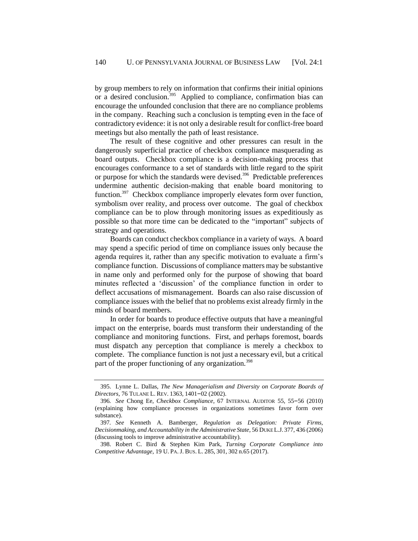by group members to rely on information that confirms their initial opinions or a desired conclusion.<sup>395</sup> Applied to compliance, confirmation bias can encourage the unfounded conclusion that there are no compliance problems in the company. Reaching such a conclusion is tempting even in the face of contradictory evidence: it is not only a desirable result for conflict-free board meetings but also mentally the path of least resistance.

The result of these cognitive and other pressures can result in the dangerously superficial practice of checkbox compliance masquerading as board outputs. Checkbox compliance is a decision-making process that encourages conformance to a set of standards with little regard to the spirit or purpose for which the standards were devised.<sup>396</sup> Predictable preferences undermine authentic decision-making that enable board monitoring to function.<sup>397</sup> Checkbox compliance improperly elevates form over function, symbolism over reality, and process over outcome. The goal of checkbox compliance can be to plow through monitoring issues as expeditiously as possible so that more time can be dedicated to the "important" subjects of strategy and operations.

Boards can conduct checkbox compliance in a variety of ways. A board may spend a specific period of time on compliance issues only because the agenda requires it, rather than any specific motivation to evaluate a firm's compliance function. Discussions of compliance matters may be substantive in name only and performed only for the purpose of showing that board minutes reflected a 'discussion' of the compliance function in order to deflect accusations of mismanagement. Boards can also raise discussion of compliance issues with the belief that no problems exist already firmly in the minds of board members.

In order for boards to produce effective outputs that have a meaningful impact on the enterprise, boards must transform their understanding of the compliance and monitoring functions. First, and perhaps foremost, boards must dispatch any perception that compliance is merely a checkbox to complete. The compliance function is not just a necessary evil, but a critical part of the proper functioning of any organization.<sup>398</sup>

<span id="page-56-0"></span><sup>395.</sup> Lynne L. Dallas, *The New Managerialism and Diversity on Corporate Boards of Directors*, 76 TULANE L. REV. 1363, 1401–02 (2002).

<sup>396</sup>*. See* Chong Ee, *Checkbox Compliance*, 67 INTERNAL AUDITOR 55, 55–56 (2010) (explaining how compliance processes in organizations sometimes favor form over substance).

<sup>397</sup>*. See* Kenneth A. Bamberger, *Regulation as Delegation: Private Firms, Decisionmaking, and Accountability in the Administrative State*, 56 DUKE L.J. 377, 436 (2006) (discussing tools to improve administrative accountability).

<sup>398.</sup> Robert C. Bird & Stephen Kim Park, *Turning Corporate Compliance into Competitive Advantage*, 19 U. PA.J. BUS. L. 285, 301, 302 n.65 (2017).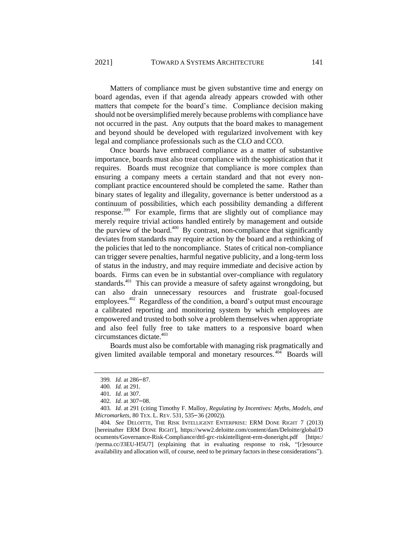Matters of compliance must be given substantive time and energy on board agendas, even if that agenda already appears crowded with other matters that compete for the board's time. Compliance decision making should not be oversimplified merely because problems with compliance have not occurred in the past. Any outputs that the board makes to management and beyond should be developed with regularized involvement with key legal and compliance professionals such as the CLO and CCO.

Once boards have embraced compliance as a matter of substantive importance, boards must also treat compliance with the sophistication that it requires. Boards must recognize that compliance is more complex than ensuring a company meets a certain standard and that not every noncompliant practice encountered should be completed the same. Rather than binary states of legality and illegality, governance is better understood as a continuum of possibilities, which each possibility demanding a different response.<sup>399</sup> For example, firms that are slightly out of compliance may merely require trivial actions handled entirely by management and outside the purview of the board. $400$  By contrast, non-compliance that significantly deviates from standards may require action by the board and a rethinking of the policies that led to the noncompliance. States of critical non-compliance can trigger severe penalties, harmful negative publicity, and a long-term loss of status in the industry, and may require immediate and decisive action by boards. Firms can even be in substantial over-compliance with regulatory standards.<sup>401</sup> This can provide a measure of safety against wrongdoing, but can also drain unnecessary resources and frustrate goal-focused employees.  $402$  Regardless of the condition, a board's output must encourage a calibrated reporting and monitoring system by which employees are empowered and trusted to both solve a problem themselves when appropriate and also feel fully free to take matters to a responsive board when circumstances dictate.<sup>403</sup>

Boards must also be comfortable with managing risk pragmatically and given limited available temporal and monetary resources.<sup>404</sup> Boards will

<sup>399</sup>*. Id.* at 286–87.

<sup>400</sup>*. Id.* at 291.

<sup>401</sup>*. Id.* at 307.

<sup>402</sup>*. Id.* at 307–08.

<sup>403</sup>*. Id.* at 291 (citing Timothy F. Malloy, *Regulating by Incentives: Myths, Models, and Micromarkets*, 80 TEX. L. REV. 531, 535–36 (2002)).

<sup>404</sup>*. See* DELOITTE, THE RISK INTELLIGENT ENTERPRISE: ERM DONE RIGHT 7 (2013) [hereinafter ERM DONE RIGHT], https://www2.deloitte.com/content/dam/Deloitte/global/D ocuments/Governance-Risk-Compliance/dttl-grc-riskintelligent-erm-doneright.pdf [https:/ /perma.cc/J3EU-H5U7] (explaining that in evaluating response to risk, "[r]esource availability and allocation will, of course, need to be primary factors in these considerations").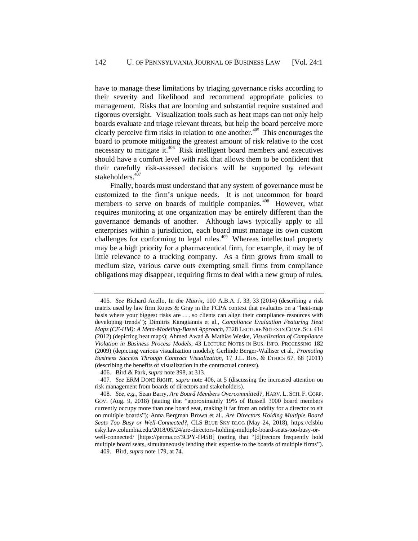have to manage these limitations by triaging governance risks according to their severity and likelihood and recommend appropriate policies to management. Risks that are looming and substantial require sustained and rigorous oversight. Visualization tools such as heat maps can not only help boards evaluate and triage relevant threats, but help the board perceive more clearly perceive firm risks in relation to one another.<sup>405</sup> This encourages the board to promote mitigating the greatest amount of risk relative to the cost necessary to mitigate it.<sup>406</sup> Risk intelligent board members and executives should have a comfort level with risk that allows them to be confident that their carefully risk-assessed decisions will be supported by relevant stakeholders.<sup>407</sup>

<span id="page-58-0"></span>Finally, boards must understand that any system of governance must be customized to the firm's unique needs. It is not uncommon for board members to serve on boards of multiple companies.<sup>408</sup> However, what requires monitoring at one organization may be entirely different than the governance demands of another. Although laws typically apply to all enterprises within a jurisdiction, each board must manage its own custom challenges for conforming to legal rules.<sup>409</sup> Whereas intellectual property may be a high priority for a pharmaceutical firm, for example, it may be of little relevance to a trucking company. As a firm grows from small to medium size, various carve outs exempting small firms from compliance obligations may disappear, requiring firms to deal with a new group of rules.

<sup>405</sup>*. See* Richard Acello, In *the Matrix*, 100 A.B.A. J. 33, 33 (2014) (describing a risk matrix used by law firm Ropes & Gray in the FCPA context that evaluates on a "heat-map basis where your biggest risks are . . . so clients can align their compliance resources with developing trends"); Dimitris Karagiannis et al., *Compliance Evaluation Featuring Heat Maps (CE-HM): A Meta-Modeling-Based Approach*, 7328 LECTURE NOTES IN COMP. SCI. 414 (2012) (depicting heat maps); Ahmed Awad & Mathias Weske, *Visualization of Compliance Violation in Business Process Models*, 43 LECTURE NOTES IN BUS. INFO. PROCESSING 182 (2009) (depicting various visualization models); Gerlinde Berger-Walliser et al., *Promoting Business Success Through Contract Visualization*, 17 J.L. BUS. & ETHICS 67, 68 (2011) (describing the benefits of visualization in the contractual context).

<sup>406.</sup> Bird & Park, *supra* not[e 398,](#page-56-0) at 313.

<sup>407</sup>*. See* ERM DONE RIGHT, *supra* note [406,](#page-58-0) at 5 (discussing the increased attention on risk management from boards of directors and stakeholders).

<sup>408</sup>*. See, e.g.*, Sean Barry, *Are Board Members Overcommitted?*, HARV. L. SCH. F. CORP. GOV. (Aug. 9, 2018) (stating that "approximately 19% of Russell 3000 board members currently occupy more than one board seat, making it far from an oddity for a director to sit on multiple boards"); Anna Bergman Brown et al., *Are Directors Holding Multiple Board Seats Too Busy or Well-Connected?*, CLS BLUE SKY BLOG (May 24, 2018), https://clsblu esky.law.columbia.edu/2018/05/24/are-directors-holding-multiple-board-seats-too-busy-or-

well-connected/ [https://perma.cc/3CPY-H45B] (noting that "[d]irectors frequently hold multiple board seats, simultaneously lending their expertise to the boards of multiple firms"). 409. Bird, *supra* note 179, at 74.